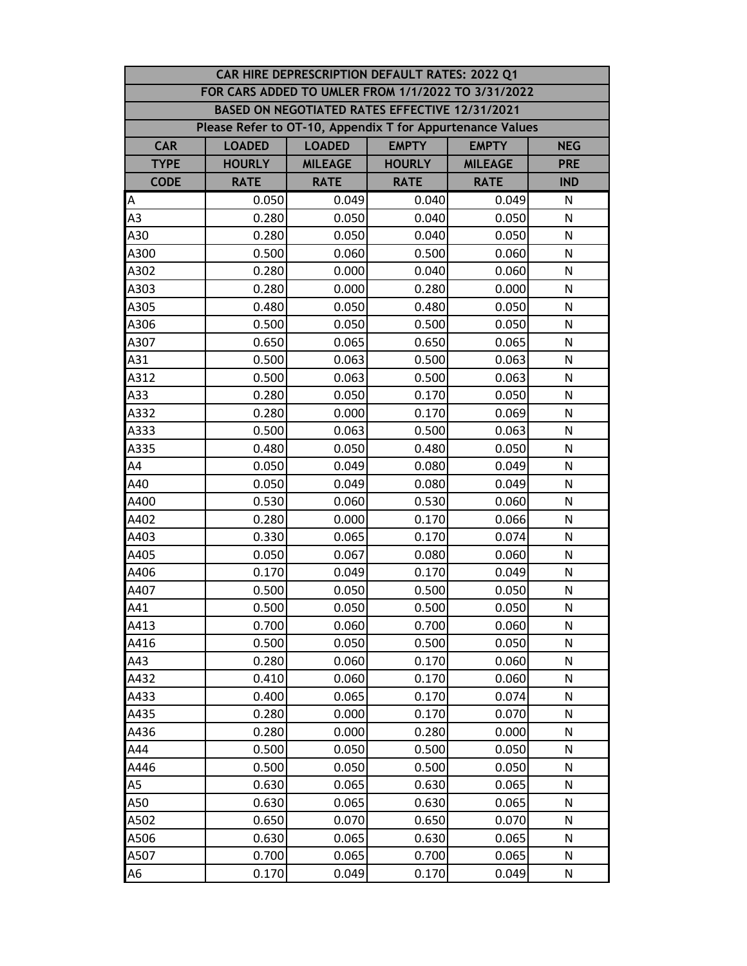| CAR HIRE DEPRESCRIPTION DEFAULT RATES: 2022 Q1 |                                                                              |                                                |               |                |              |  |  |
|------------------------------------------------|------------------------------------------------------------------------------|------------------------------------------------|---------------|----------------|--------------|--|--|
|                                                | FOR CARS ADDED TO UMLER FROM 1/1/2022 TO 3/31/2022                           |                                                |               |                |              |  |  |
|                                                |                                                                              | BASED ON NEGOTIATED RATES EFFECTIVE 12/31/2021 |               |                |              |  |  |
|                                                | Please Refer to OT-10, Appendix T for Appurtenance Values                    |                                                |               |                |              |  |  |
| <b>CAR</b>                                     | <b>EMPTY</b><br><b>LOADED</b><br><b>LOADED</b><br><b>EMPTY</b><br><b>NEG</b> |                                                |               |                |              |  |  |
| <b>TYPE</b>                                    | <b>HOURLY</b>                                                                | <b>MILEAGE</b>                                 | <b>HOURLY</b> | <b>MILEAGE</b> | <b>PRE</b>   |  |  |
| <b>CODE</b>                                    | <b>RATE</b>                                                                  | <b>RATE</b>                                    | <b>RATE</b>   | <b>RATE</b>    | <b>IND</b>   |  |  |
| A                                              | 0.050                                                                        | 0.049                                          | 0.040         | 0.049          | N            |  |  |
| A <sub>3</sub>                                 | 0.280                                                                        | 0.050                                          | 0.040         | 0.050          | N            |  |  |
| A30                                            | 0.280                                                                        | 0.050                                          | 0.040         | 0.050          | N            |  |  |
| A300                                           | 0.500                                                                        | 0.060                                          | 0.500         | 0.060          | N            |  |  |
| A302                                           | 0.280                                                                        | 0.000                                          | 0.040         | 0.060          | N            |  |  |
| A303                                           | 0.280                                                                        | 0.000                                          | 0.280         | 0.000          | N            |  |  |
| A305                                           | 0.480                                                                        | 0.050                                          | 0.480         | 0.050          | N            |  |  |
| A306                                           | 0.500                                                                        | 0.050                                          | 0.500         | 0.050          | N            |  |  |
| A307                                           | 0.650                                                                        | 0.065                                          | 0.650         | 0.065          | N            |  |  |
| A31                                            | 0.500                                                                        | 0.063                                          | 0.500         | 0.063          | N            |  |  |
| A312                                           | 0.500                                                                        | 0.063                                          | 0.500         | 0.063          | N            |  |  |
| A33                                            | 0.280                                                                        | 0.050                                          | 0.170         | 0.050          | N            |  |  |
| A332                                           | 0.280                                                                        | 0.000                                          | 0.170         | 0.069          | N            |  |  |
| A333                                           | 0.500                                                                        | 0.063                                          | 0.500         | 0.063          | N            |  |  |
| A335                                           | 0.480                                                                        | 0.050                                          | 0.480         | 0.050          | N            |  |  |
| AA                                             | 0.050                                                                        | 0.049                                          | 0.080         | 0.049          | $\mathsf{N}$ |  |  |
| A40                                            | 0.050                                                                        | 0.049                                          | 0.080         | 0.049          | $\mathsf{N}$ |  |  |
| A400                                           | 0.530                                                                        | 0.060                                          | 0.530         | 0.060          | N            |  |  |
| A402                                           | 0.280                                                                        | 0.000                                          | 0.170         | 0.066          | N            |  |  |
| A403                                           | 0.330                                                                        | 0.065                                          | 0.170         | 0.074          | N            |  |  |
| A405                                           | 0.050                                                                        | 0.067                                          | 0.080         | 0.060          | N            |  |  |
| A406                                           | 0.170                                                                        | 0.049                                          | 0.170         | 0.049          | $\mathsf{N}$ |  |  |
| A407                                           | 0.500                                                                        | 0.050                                          | 0.500         | 0.050          | N            |  |  |
| A41                                            | 0.500                                                                        | 0.050                                          | 0.500         | 0.050          | N            |  |  |
| A413                                           | 0.700                                                                        | 0.060                                          | 0.700         | 0.060          | N            |  |  |
| A416                                           | 0.500                                                                        | 0.050                                          | 0.500         | 0.050          | N            |  |  |
| A43                                            | 0.280                                                                        | 0.060                                          | 0.170         | 0.060          | N            |  |  |
| A432                                           | 0.410                                                                        | 0.060                                          | 0.170         | 0.060          | N            |  |  |
| A433                                           | 0.400                                                                        | 0.065                                          | 0.170         | 0.074          | N            |  |  |
| A435                                           | 0.280                                                                        | 0.000                                          | 0.170         | 0.070          | N            |  |  |
| A436                                           | 0.280                                                                        | 0.000                                          | 0.280         | 0.000          | N            |  |  |
| A44                                            | 0.500                                                                        | 0.050                                          | 0.500         | 0.050          | N            |  |  |
| A446                                           | 0.500                                                                        | 0.050                                          | 0.500         | 0.050          | N            |  |  |
| A5                                             | 0.630                                                                        | 0.065                                          | 0.630         | 0.065          | N            |  |  |
| A50                                            | 0.630                                                                        | 0.065                                          | 0.630         | 0.065          | N            |  |  |
| A502                                           | 0.650                                                                        | 0.070                                          | 0.650         | 0.070          | N            |  |  |
| A506                                           | 0.630                                                                        | 0.065                                          | 0.630         | 0.065          | N            |  |  |
| A507                                           | 0.700                                                                        | 0.065                                          | 0.700         | 0.065          | N            |  |  |
| A6                                             | 0.170                                                                        | 0.049                                          | 0.170         | 0.049          | N            |  |  |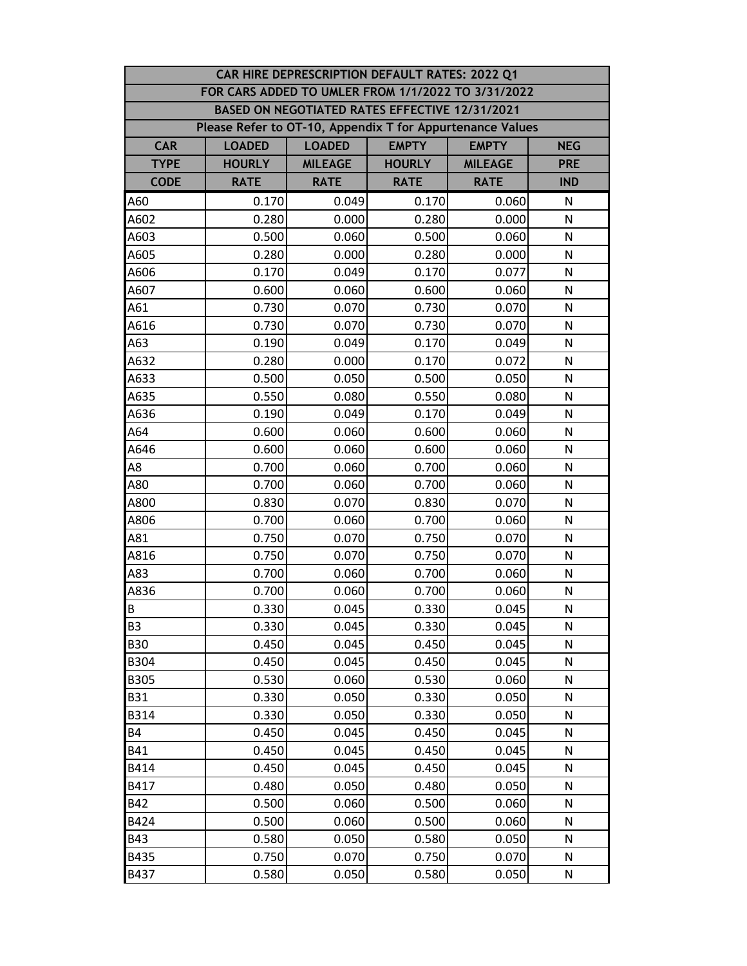|             | CAR HIRE DEPRESCRIPTION DEFAULT RATES: 2022 Q1            |                                                             |                                                |                |              |  |  |  |  |
|-------------|-----------------------------------------------------------|-------------------------------------------------------------|------------------------------------------------|----------------|--------------|--|--|--|--|
|             | FOR CARS ADDED TO UMLER FROM 1/1/2022 TO 3/31/2022        |                                                             |                                                |                |              |  |  |  |  |
|             |                                                           |                                                             | BASED ON NEGOTIATED RATES EFFECTIVE 12/31/2021 |                |              |  |  |  |  |
|             | Please Refer to OT-10, Appendix T for Appurtenance Values |                                                             |                                                |                |              |  |  |  |  |
| <b>CAR</b>  | <b>LOADED</b>                                             | <b>EMPTY</b><br><b>LOADED</b><br><b>EMPTY</b><br><b>NEG</b> |                                                |                |              |  |  |  |  |
| <b>TYPE</b> | <b>HOURLY</b>                                             | <b>MILEAGE</b>                                              | <b>HOURLY</b>                                  | <b>MILEAGE</b> | <b>PRE</b>   |  |  |  |  |
| <b>CODE</b> | <b>RATE</b>                                               | <b>RATE</b>                                                 | <b>RATE</b>                                    | <b>RATE</b>    | <b>IND</b>   |  |  |  |  |
| A60         | 0.170                                                     | 0.049                                                       | 0.170                                          | 0.060          | N            |  |  |  |  |
| A602        | 0.280                                                     | 0.000                                                       | 0.280                                          | 0.000          | N            |  |  |  |  |
| A603        | 0.500                                                     | 0.060                                                       | 0.500                                          | 0.060          | N            |  |  |  |  |
| A605        | 0.280                                                     | 0.000                                                       | 0.280                                          | 0.000          | N            |  |  |  |  |
| A606        | 0.170                                                     | 0.049                                                       | 0.170                                          | 0.077          | N            |  |  |  |  |
| A607        | 0.600                                                     | 0.060                                                       | 0.600                                          | 0.060          | N            |  |  |  |  |
| A61         | 0.730                                                     | 0.070                                                       | 0.730                                          | 0.070          | N            |  |  |  |  |
| A616        | 0.730                                                     | 0.070                                                       | 0.730                                          | 0.070          | N            |  |  |  |  |
| A63         | 0.190                                                     | 0.049                                                       | 0.170                                          | 0.049          | N            |  |  |  |  |
| A632        | 0.280                                                     | 0.000                                                       | 0.170                                          | 0.072          | N            |  |  |  |  |
| A633        | 0.500                                                     | 0.050                                                       | 0.500                                          | 0.050          | N            |  |  |  |  |
| A635        | 0.550                                                     | 0.080                                                       | 0.550                                          | 0.080          | N            |  |  |  |  |
| A636        | 0.190                                                     | 0.049                                                       | 0.170                                          | 0.049          | N            |  |  |  |  |
| A64         | 0.600                                                     | 0.060                                                       | 0.600                                          | 0.060          | N            |  |  |  |  |
| A646        | 0.600                                                     | 0.060                                                       | 0.600                                          | 0.060          | N            |  |  |  |  |
| A8          | 0.700                                                     | 0.060                                                       | 0.700                                          | 0.060          | N            |  |  |  |  |
| A80         | 0.700                                                     | 0.060                                                       | 0.700                                          | 0.060          | N            |  |  |  |  |
| A800        | 0.830                                                     | 0.070                                                       | 0.830                                          | 0.070          | $\mathsf{N}$ |  |  |  |  |
| A806        | 0.700                                                     | 0.060                                                       | 0.700                                          | 0.060          | N            |  |  |  |  |
| A81         | 0.750                                                     | 0.070                                                       | 0.750                                          | 0.070          | N            |  |  |  |  |
| A816        | 0.750                                                     | 0.070                                                       | 0.750                                          | 0.070          | N            |  |  |  |  |
| A83         | 0.700                                                     | 0.060                                                       | 0.700                                          | 0.060          | N            |  |  |  |  |
| A836        | 0.700                                                     | 0.060                                                       | 0.700                                          | 0.060          | N            |  |  |  |  |
| B           | 0.330                                                     | 0.045                                                       | 0.330                                          | 0.045          | ${\sf N}$    |  |  |  |  |
| <b>B3</b>   | 0.330                                                     | 0.045                                                       | 0.330                                          | 0.045          | N            |  |  |  |  |
| <b>B30</b>  | 0.450                                                     | 0.045                                                       | 0.450                                          | 0.045          | N            |  |  |  |  |
| <b>B304</b> | 0.450                                                     | 0.045                                                       | 0.450                                          | 0.045          | N            |  |  |  |  |
| <b>B305</b> | 0.530                                                     | 0.060                                                       | 0.530                                          | 0.060          | N            |  |  |  |  |
| <b>B31</b>  | 0.330                                                     | 0.050                                                       | 0.330                                          | 0.050          | N            |  |  |  |  |
| <b>B314</b> | 0.330                                                     | 0.050                                                       | 0.330                                          | 0.050          | $\mathsf{N}$ |  |  |  |  |
| <b>B4</b>   | 0.450                                                     | 0.045                                                       | 0.450                                          | 0.045          | N            |  |  |  |  |
| <b>B41</b>  | 0.450                                                     | 0.045                                                       | 0.450                                          | 0.045          | N            |  |  |  |  |
| B414        | 0.450                                                     | 0.045                                                       | 0.450                                          | 0.045          | N            |  |  |  |  |
| B417        | 0.480                                                     | 0.050                                                       | 0.480                                          | 0.050          | N            |  |  |  |  |
| <b>B42</b>  | 0.500                                                     | 0.060                                                       | 0.500                                          | 0.060          | N            |  |  |  |  |
| B424        | 0.500                                                     | 0.060                                                       | 0.500                                          | 0.060          | N            |  |  |  |  |
| <b>B43</b>  | 0.580                                                     | 0.050                                                       | 0.580                                          | 0.050          | N            |  |  |  |  |
| B435        | 0.750                                                     | 0.070                                                       | 0.750                                          | 0.070          | N            |  |  |  |  |
| B437        | 0.580                                                     | 0.050                                                       | 0.580                                          | 0.050          | ${\sf N}$    |  |  |  |  |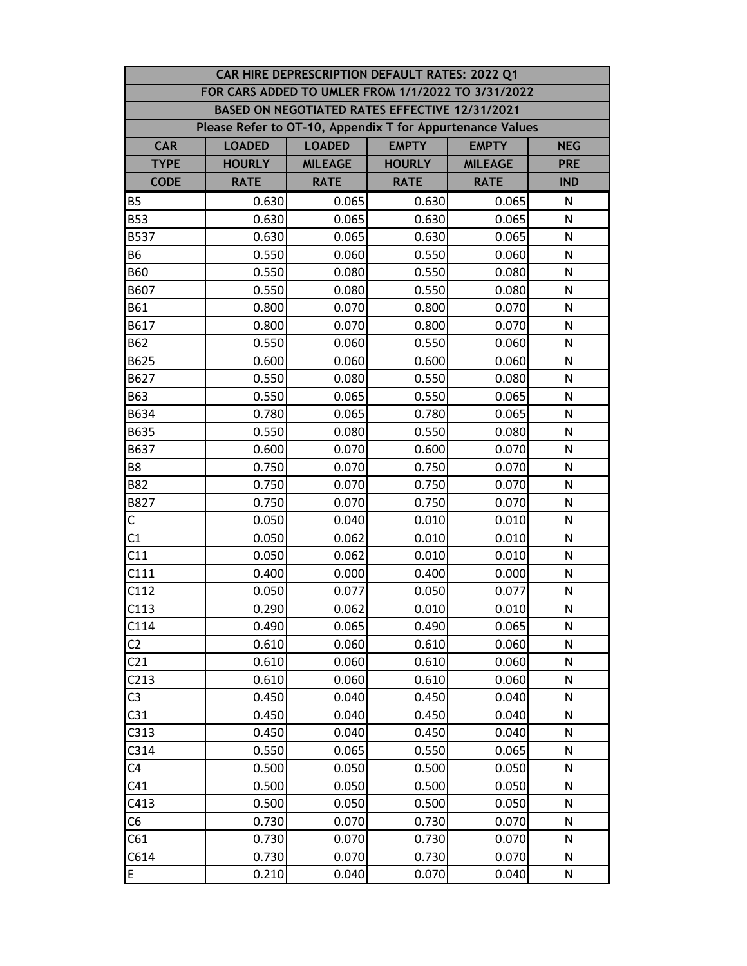| CAR HIRE DEPRESCRIPTION DEFAULT RATES: 2022 Q1 |                                                           |                                                             |                                                |                |              |  |  |  |  |
|------------------------------------------------|-----------------------------------------------------------|-------------------------------------------------------------|------------------------------------------------|----------------|--------------|--|--|--|--|
|                                                | FOR CARS ADDED TO UMLER FROM 1/1/2022 TO 3/31/2022        |                                                             |                                                |                |              |  |  |  |  |
|                                                |                                                           |                                                             | BASED ON NEGOTIATED RATES EFFECTIVE 12/31/2021 |                |              |  |  |  |  |
|                                                | Please Refer to OT-10, Appendix T for Appurtenance Values |                                                             |                                                |                |              |  |  |  |  |
| <b>CAR</b>                                     | <b>LOADED</b>                                             | <b>EMPTY</b><br><b>LOADED</b><br><b>EMPTY</b><br><b>NEG</b> |                                                |                |              |  |  |  |  |
| <b>TYPE</b>                                    | <b>HOURLY</b>                                             | <b>MILEAGE</b>                                              | <b>HOURLY</b>                                  | <b>MILEAGE</b> | <b>PRE</b>   |  |  |  |  |
| <b>CODE</b>                                    | <b>RATE</b>                                               | <b>RATE</b>                                                 | <b>RATE</b>                                    | <b>RATE</b>    | <b>IND</b>   |  |  |  |  |
| <b>B5</b>                                      | 0.630                                                     | 0.065                                                       | 0.630                                          | 0.065          | N            |  |  |  |  |
| <b>B53</b>                                     | 0.630                                                     | 0.065                                                       | 0.630                                          | 0.065          | N            |  |  |  |  |
| <b>B537</b>                                    | 0.630                                                     | 0.065                                                       | 0.630                                          | 0.065          | N            |  |  |  |  |
| <b>B6</b>                                      | 0.550                                                     | 0.060                                                       | 0.550                                          | 0.060          | N            |  |  |  |  |
| <b>B60</b>                                     | 0.550                                                     | 0.080                                                       | 0.550                                          | 0.080          | N            |  |  |  |  |
| B607                                           | 0.550                                                     | 0.080                                                       | 0.550                                          | 0.080          | N            |  |  |  |  |
| <b>B61</b>                                     | 0.800                                                     | 0.070                                                       | 0.800                                          | 0.070          | N            |  |  |  |  |
| B617                                           | 0.800                                                     | 0.070                                                       | 0.800                                          | 0.070          | N            |  |  |  |  |
| <b>B62</b>                                     | 0.550                                                     | 0.060                                                       | 0.550                                          | 0.060          | N            |  |  |  |  |
| B625                                           | 0.600                                                     | 0.060                                                       | 0.600                                          | 0.060          | N            |  |  |  |  |
| B627                                           | 0.550                                                     | 0.080                                                       | 0.550                                          | 0.080          | N            |  |  |  |  |
| <b>B63</b>                                     | 0.550                                                     | 0.065                                                       | 0.550                                          | 0.065          | N            |  |  |  |  |
| B634                                           | 0.780                                                     | 0.065                                                       | 0.780                                          | 0.065          | N            |  |  |  |  |
| B635                                           | 0.550                                                     | 0.080                                                       | 0.550                                          | 0.080          | N            |  |  |  |  |
| B637                                           | 0.600                                                     | 0.070                                                       | 0.600                                          | 0.070          | N            |  |  |  |  |
| B8                                             | 0.750                                                     | 0.070                                                       | 0.750                                          | 0.070          | N            |  |  |  |  |
| <b>B82</b>                                     | 0.750                                                     | 0.070                                                       | 0.750                                          | 0.070          | N            |  |  |  |  |
| B827                                           | 0.750                                                     | 0.070                                                       | 0.750                                          | 0.070          | $\mathsf{N}$ |  |  |  |  |
| $\mathsf{C}$                                   | 0.050                                                     | 0.040                                                       | 0.010                                          | 0.010          | N            |  |  |  |  |
| C1                                             | 0.050                                                     | 0.062                                                       | 0.010                                          | 0.010          | N            |  |  |  |  |
| C11                                            | 0.050                                                     | 0.062                                                       | 0.010                                          | 0.010          | N            |  |  |  |  |
| C111                                           | 0.400                                                     | 0.000                                                       | 0.400                                          | 0.000          | N            |  |  |  |  |
| C112                                           | 0.050                                                     | 0.077                                                       | 0.050                                          | 0.077          | N            |  |  |  |  |
| C113                                           | 0.290                                                     | 0.062                                                       | 0.010                                          | 0.010          | ${\sf N}$    |  |  |  |  |
| C114                                           | 0.490                                                     | 0.065                                                       | 0.490                                          | 0.065          | N            |  |  |  |  |
| C <sub>2</sub>                                 | 0.610                                                     | 0.060                                                       | 0.610                                          | 0.060          | N            |  |  |  |  |
| C <sub>21</sub>                                | 0.610                                                     | 0.060                                                       | 0.610                                          | 0.060          | N            |  |  |  |  |
| C <sub>213</sub>                               | 0.610                                                     | 0.060                                                       | 0.610                                          | 0.060          | N            |  |  |  |  |
| C <sub>3</sub>                                 | 0.450                                                     | 0.040                                                       | 0.450                                          | 0.040          | N            |  |  |  |  |
| C31                                            | 0.450                                                     | 0.040                                                       | 0.450                                          | 0.040          | ${\sf N}$    |  |  |  |  |
| C313                                           | 0.450                                                     | 0.040                                                       | 0.450                                          | 0.040          | N            |  |  |  |  |
| C314                                           | 0.550                                                     | 0.065                                                       | 0.550                                          | 0.065          | N            |  |  |  |  |
| C <sub>4</sub>                                 | 0.500                                                     | 0.050                                                       | 0.500                                          | 0.050          | N            |  |  |  |  |
| C41                                            | 0.500                                                     | 0.050                                                       | 0.500                                          | 0.050          | N            |  |  |  |  |
| C413                                           | 0.500                                                     | 0.050                                                       | 0.500                                          | 0.050          | N            |  |  |  |  |
| C <sub>6</sub>                                 | 0.730                                                     | 0.070                                                       | 0.730                                          | 0.070          | N            |  |  |  |  |
| C61                                            | 0.730                                                     | 0.070                                                       | 0.730                                          | 0.070          | N            |  |  |  |  |
| C614                                           | 0.730                                                     | 0.070                                                       | 0.730                                          | 0.070          | N            |  |  |  |  |
| E                                              | 0.210                                                     | 0.040                                                       | 0.070                                          | 0.040          | N            |  |  |  |  |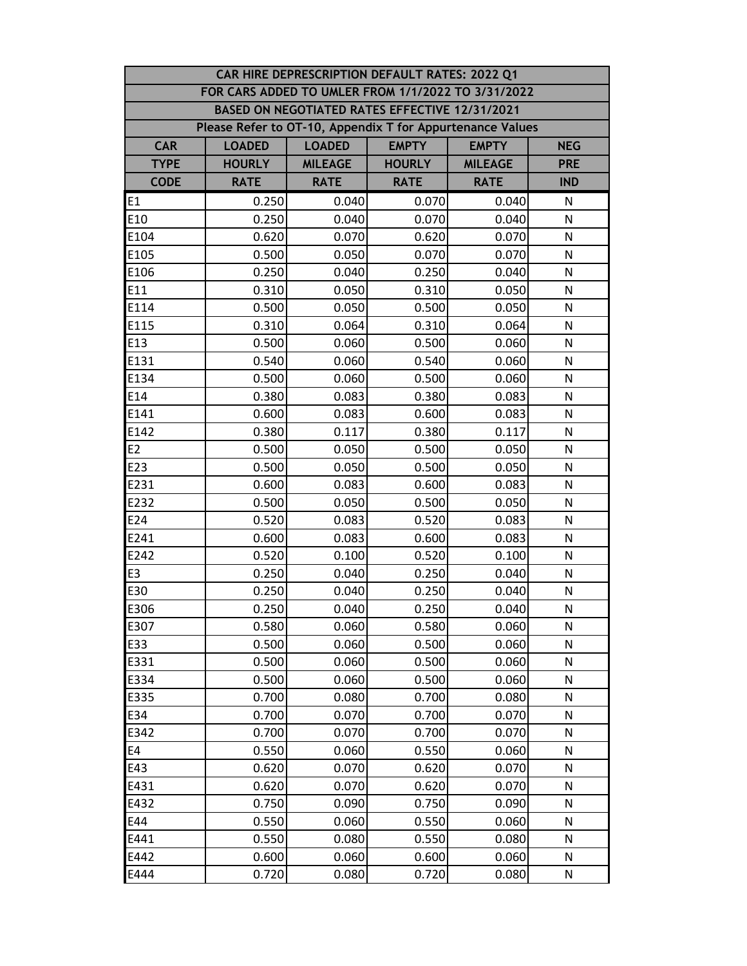|                | CAR HIRE DEPRESCRIPTION DEFAULT RATES: 2022 Q1            |                                                             |                                                |                |              |  |  |
|----------------|-----------------------------------------------------------|-------------------------------------------------------------|------------------------------------------------|----------------|--------------|--|--|
|                | FOR CARS ADDED TO UMLER FROM 1/1/2022 TO 3/31/2022        |                                                             |                                                |                |              |  |  |
|                |                                                           |                                                             | BASED ON NEGOTIATED RATES EFFECTIVE 12/31/2021 |                |              |  |  |
|                | Please Refer to OT-10, Appendix T for Appurtenance Values |                                                             |                                                |                |              |  |  |
| <b>CAR</b>     | <b>LOADED</b>                                             | <b>EMPTY</b><br><b>LOADED</b><br><b>EMPTY</b><br><b>NEG</b> |                                                |                |              |  |  |
| <b>TYPE</b>    | <b>HOURLY</b>                                             | <b>MILEAGE</b>                                              | <b>HOURLY</b>                                  | <b>MILEAGE</b> | <b>PRE</b>   |  |  |
| <b>CODE</b>    | <b>RATE</b>                                               | <b>RATE</b>                                                 | <b>RATE</b>                                    | <b>RATE</b>    | <b>IND</b>   |  |  |
| E <sub>1</sub> | 0.250                                                     | 0.040                                                       | 0.070                                          | 0.040          | N            |  |  |
| E10            | 0.250                                                     | 0.040                                                       | 0.070                                          | 0.040          | N            |  |  |
| E104           | 0.620                                                     | 0.070                                                       | 0.620                                          | 0.070          | N            |  |  |
| E105           | 0.500                                                     | 0.050                                                       | 0.070                                          | 0.070          | N            |  |  |
| E106           | 0.250                                                     | 0.040                                                       | 0.250                                          | 0.040          | N            |  |  |
| E11            | 0.310                                                     | 0.050                                                       | 0.310                                          | 0.050          | N            |  |  |
| E114           | 0.500                                                     | 0.050                                                       | 0.500                                          | 0.050          | N            |  |  |
| E115           | 0.310                                                     | 0.064                                                       | 0.310                                          | 0.064          | N            |  |  |
| E13            | 0.500                                                     | 0.060                                                       | 0.500                                          | 0.060          | N            |  |  |
| E131           | 0.540                                                     | 0.060                                                       | 0.540                                          | 0.060          | N            |  |  |
| E134           | 0.500                                                     | 0.060                                                       | 0.500                                          | 0.060          | N            |  |  |
| E14            | 0.380                                                     | 0.083                                                       | 0.380                                          | 0.083          | N            |  |  |
| E141           | 0.600                                                     | 0.083                                                       | 0.600                                          | 0.083          | N            |  |  |
| E142           | 0.380                                                     | 0.117                                                       | 0.380                                          | 0.117          | N            |  |  |
| E2             | 0.500                                                     | 0.050                                                       | 0.500                                          | 0.050          | N            |  |  |
| E23            | 0.500                                                     | 0.050                                                       | 0.500                                          | 0.050          | N            |  |  |
| E231           | 0.600                                                     | 0.083                                                       | 0.600                                          | 0.083          | ${\sf N}$    |  |  |
| E232           | 0.500                                                     | 0.050                                                       | 0.500                                          | 0.050          | $\mathsf{N}$ |  |  |
| E24            | 0.520                                                     | 0.083                                                       | 0.520                                          | 0.083          | N            |  |  |
| E241           | 0.600                                                     | 0.083                                                       | 0.600                                          | 0.083          | N            |  |  |
| E242           | 0.520                                                     | 0.100                                                       | 0.520                                          | 0.100          | N            |  |  |
| E <sub>3</sub> | 0.250                                                     | 0.040                                                       | 0.250                                          | 0.040          | N            |  |  |
| E30            | 0.250                                                     | 0.040                                                       | 0.250                                          | 0.040          | N            |  |  |
| E306           | 0.250                                                     | 0.040                                                       | 0.250                                          | 0.040          | ${\sf N}$    |  |  |
| E307           | 0.580                                                     | 0.060                                                       | 0.580                                          | 0.060          | N            |  |  |
| E33            | 0.500                                                     | 0.060                                                       | 0.500                                          | 0.060          | N            |  |  |
| E331           | 0.500                                                     | 0.060                                                       | 0.500                                          | 0.060          | N            |  |  |
| E334           | 0.500                                                     | 0.060                                                       | 0.500                                          | 0.060          | N            |  |  |
| E335           | 0.700                                                     | 0.080                                                       | 0.700                                          | 0.080          | N            |  |  |
| E34            | 0.700                                                     | 0.070                                                       | 0.700                                          | 0.070          | $\mathsf{N}$ |  |  |
| E342           | 0.700                                                     | 0.070                                                       | 0.700                                          | 0.070          | N            |  |  |
| E4             | 0.550                                                     | 0.060                                                       | 0.550                                          | 0.060          | N            |  |  |
| E43            | 0.620                                                     | 0.070                                                       | 0.620                                          | 0.070          | N            |  |  |
| E431           | 0.620                                                     | 0.070                                                       | 0.620                                          | 0.070          | N            |  |  |
| E432           | 0.750                                                     | 0.090                                                       | 0.750                                          | 0.090          | N            |  |  |
| E44            | 0.550                                                     | 0.060                                                       | 0.550                                          | 0.060          | N            |  |  |
| E441           | 0.550                                                     | 0.080                                                       | 0.550                                          | 0.080          | N            |  |  |
| E442           | 0.600                                                     | 0.060                                                       | 0.600                                          | 0.060          | N            |  |  |
| E444           | 0.720                                                     | 0.080                                                       | 0.720                                          | 0.080          | ${\sf N}$    |  |  |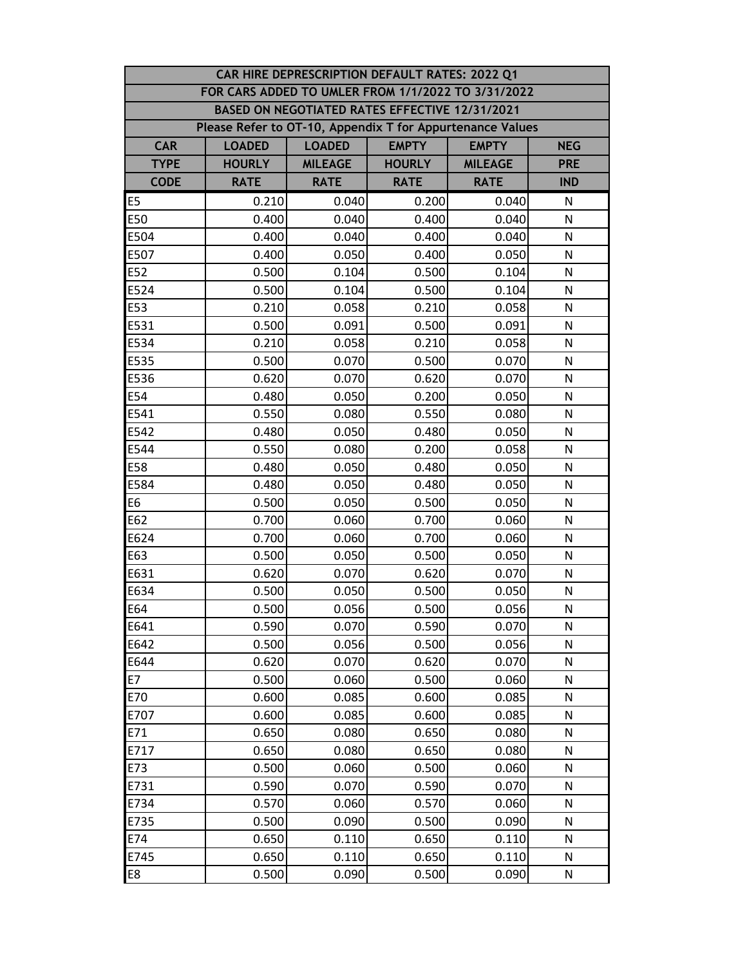|                | CAR HIRE DEPRESCRIPTION DEFAULT RATES: 2022 Q1            |                                                             |                                                |                |              |  |  |
|----------------|-----------------------------------------------------------|-------------------------------------------------------------|------------------------------------------------|----------------|--------------|--|--|
|                | FOR CARS ADDED TO UMLER FROM 1/1/2022 TO 3/31/2022        |                                                             |                                                |                |              |  |  |
|                |                                                           |                                                             | BASED ON NEGOTIATED RATES EFFECTIVE 12/31/2021 |                |              |  |  |
|                | Please Refer to OT-10, Appendix T for Appurtenance Values |                                                             |                                                |                |              |  |  |
| <b>CAR</b>     | <b>LOADED</b>                                             | <b>EMPTY</b><br><b>LOADED</b><br><b>EMPTY</b><br><b>NEG</b> |                                                |                |              |  |  |
| <b>TYPE</b>    | <b>HOURLY</b>                                             | <b>MILEAGE</b>                                              | <b>HOURLY</b>                                  | <b>MILEAGE</b> | <b>PRE</b>   |  |  |
| <b>CODE</b>    | <b>RATE</b>                                               | <b>RATE</b>                                                 | <b>RATE</b>                                    | <b>RATE</b>    | <b>IND</b>   |  |  |
| E <sub>5</sub> | 0.210                                                     | 0.040                                                       | 0.200                                          | 0.040          | N            |  |  |
| E50            | 0.400                                                     | 0.040                                                       | 0.400                                          | 0.040          | N            |  |  |
| E504           | 0.400                                                     | 0.040                                                       | 0.400                                          | 0.040          | N            |  |  |
| E507           | 0.400                                                     | 0.050                                                       | 0.400                                          | 0.050          | N            |  |  |
| E52            | 0.500                                                     | 0.104                                                       | 0.500                                          | 0.104          | N            |  |  |
| E524           | 0.500                                                     | 0.104                                                       | 0.500                                          | 0.104          | N            |  |  |
| E53            | 0.210                                                     | 0.058                                                       | 0.210                                          | 0.058          | N            |  |  |
| E531           | 0.500                                                     | 0.091                                                       | 0.500                                          | 0.091          | N            |  |  |
| E534           | 0.210                                                     | 0.058                                                       | 0.210                                          | 0.058          | N            |  |  |
| E535           | 0.500                                                     | 0.070                                                       | 0.500                                          | 0.070          | N            |  |  |
| E536           | 0.620                                                     | 0.070                                                       | 0.620                                          | 0.070          | N            |  |  |
| E54            | 0.480                                                     | 0.050                                                       | 0.200                                          | 0.050          | N            |  |  |
| E541           | 0.550                                                     | 0.080                                                       | 0.550                                          | 0.080          | N            |  |  |
| E542           | 0.480                                                     | 0.050                                                       | 0.480                                          | 0.050          | N            |  |  |
| E544           | 0.550                                                     | 0.080                                                       | 0.200                                          | 0.058          | N            |  |  |
| E58            | 0.480                                                     | 0.050                                                       | 0.480                                          | 0.050          | N            |  |  |
| E584           | 0.480                                                     | 0.050                                                       | 0.480                                          | 0.050          | N            |  |  |
| E6             | 0.500                                                     | 0.050                                                       | 0.500                                          | 0.050          | $\mathsf{N}$ |  |  |
| E62            | 0.700                                                     | 0.060                                                       | 0.700                                          | 0.060          | N            |  |  |
| E624           | 0.700                                                     | 0.060                                                       | 0.700                                          | 0.060          | N            |  |  |
| E63            | 0.500                                                     | 0.050                                                       | 0.500                                          | 0.050          | N            |  |  |
| E631           | 0.620                                                     | 0.070                                                       | 0.620                                          | 0.070          | N            |  |  |
| E634           | 0.500                                                     | 0.050                                                       | 0.500                                          | 0.050          | N            |  |  |
| E64            | 0.500                                                     | 0.056                                                       | 0.500                                          | 0.056          | ${\sf N}$    |  |  |
| E641           | 0.590                                                     | 0.070                                                       | 0.590                                          | 0.070          | N            |  |  |
| E642           | 0.500                                                     | 0.056                                                       | 0.500                                          | 0.056          | N            |  |  |
| E644           | 0.620                                                     | 0.070                                                       | 0.620                                          | 0.070          | N            |  |  |
| <b>E7</b>      | 0.500                                                     | 0.060                                                       | 0.500                                          | 0.060          | N            |  |  |
| E70            | 0.600                                                     | 0.085                                                       | 0.600                                          | 0.085          | N            |  |  |
| E707           | 0.600                                                     | 0.085                                                       | 0.600                                          | 0.085          | N            |  |  |
| E71            | 0.650                                                     | 0.080                                                       | 0.650                                          | 0.080          | N            |  |  |
| E717           | 0.650                                                     | 0.080                                                       | 0.650                                          | 0.080          | N            |  |  |
| E73            | 0.500                                                     | 0.060                                                       | 0.500                                          | 0.060          | N            |  |  |
| E731           | 0.590                                                     | 0.070                                                       | 0.590                                          | 0.070          | N            |  |  |
| E734           | 0.570                                                     | 0.060                                                       | 0.570                                          | 0.060          | N            |  |  |
| E735           | 0.500                                                     | 0.090                                                       | 0.500                                          | 0.090          | N            |  |  |
| E74            | 0.650                                                     | 0.110                                                       | 0.650                                          | 0.110          | N            |  |  |
| E745           | 0.650                                                     | 0.110                                                       | 0.650                                          | 0.110          | N            |  |  |
| E8             | 0.500                                                     | 0.090                                                       | 0.500                                          | 0.090          | ${\sf N}$    |  |  |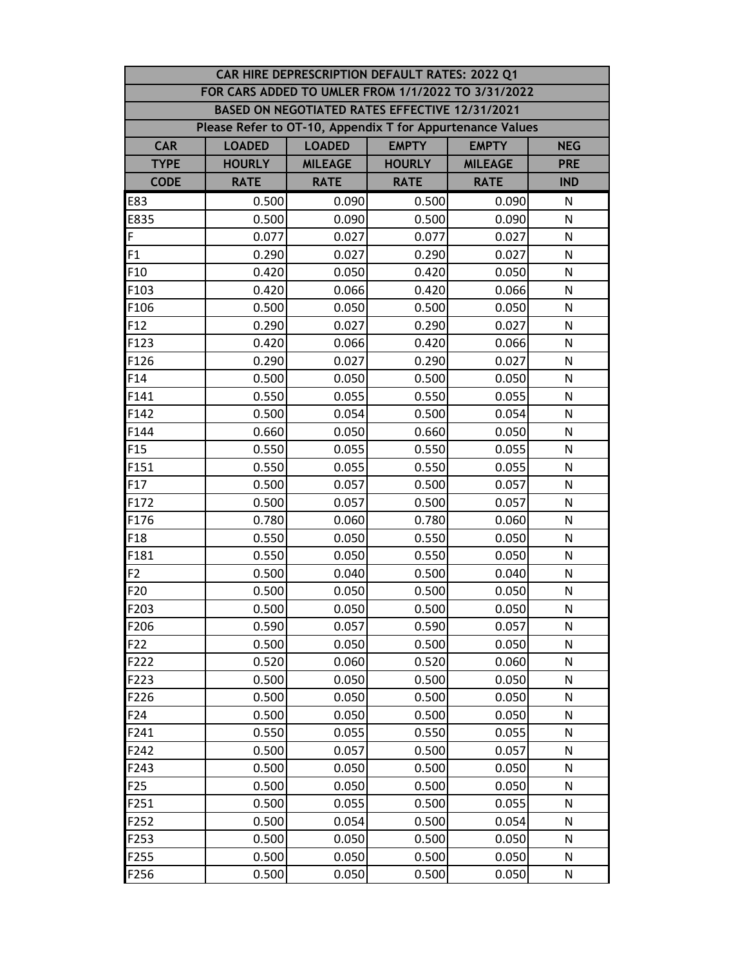| CAR HIRE DEPRESCRIPTION DEFAULT RATES: 2022 Q1 |                                                           |                                                             |                                                |                |              |  |  |  |  |
|------------------------------------------------|-----------------------------------------------------------|-------------------------------------------------------------|------------------------------------------------|----------------|--------------|--|--|--|--|
|                                                | FOR CARS ADDED TO UMLER FROM 1/1/2022 TO 3/31/2022        |                                                             |                                                |                |              |  |  |  |  |
|                                                |                                                           |                                                             | BASED ON NEGOTIATED RATES EFFECTIVE 12/31/2021 |                |              |  |  |  |  |
|                                                | Please Refer to OT-10, Appendix T for Appurtenance Values |                                                             |                                                |                |              |  |  |  |  |
| <b>CAR</b>                                     | <b>LOADED</b>                                             | <b>EMPTY</b><br><b>LOADED</b><br><b>EMPTY</b><br><b>NEG</b> |                                                |                |              |  |  |  |  |
| <b>TYPE</b>                                    | <b>HOURLY</b>                                             | <b>MILEAGE</b>                                              | <b>HOURLY</b>                                  | <b>MILEAGE</b> | <b>PRE</b>   |  |  |  |  |
| <b>CODE</b>                                    | <b>RATE</b>                                               | <b>RATE</b>                                                 | <b>RATE</b>                                    | <b>RATE</b>    | <b>IND</b>   |  |  |  |  |
| E83                                            | 0.500                                                     | 0.090                                                       | 0.500                                          | 0.090          | N            |  |  |  |  |
| E835                                           | 0.500                                                     | 0.090                                                       | 0.500                                          | 0.090          | N            |  |  |  |  |
| F                                              | 0.077                                                     | 0.027                                                       | 0.077                                          | 0.027          | N            |  |  |  |  |
| F1                                             | 0.290                                                     | 0.027                                                       | 0.290                                          | 0.027          | N            |  |  |  |  |
| F <sub>10</sub>                                | 0.420                                                     | 0.050                                                       | 0.420                                          | 0.050          | N            |  |  |  |  |
| F103                                           | 0.420                                                     | 0.066                                                       | 0.420                                          | 0.066          | N            |  |  |  |  |
| F106                                           | 0.500                                                     | 0.050                                                       | 0.500                                          | 0.050          | N            |  |  |  |  |
| F <sub>12</sub>                                | 0.290                                                     | 0.027                                                       | 0.290                                          | 0.027          | N            |  |  |  |  |
| F123                                           | 0.420                                                     | 0.066                                                       | 0.420                                          | 0.066          | N            |  |  |  |  |
| F126                                           | 0.290                                                     | 0.027                                                       | 0.290                                          | 0.027          | N            |  |  |  |  |
| F14                                            | 0.500                                                     | 0.050                                                       | 0.500                                          | 0.050          | N            |  |  |  |  |
| F141                                           | 0.550                                                     | 0.055                                                       | 0.550                                          | 0.055          | N            |  |  |  |  |
| F142                                           | 0.500                                                     | 0.054                                                       | 0.500                                          | 0.054          | $\mathsf{N}$ |  |  |  |  |
| F144                                           | 0.660                                                     | 0.050                                                       | 0.660                                          | 0.050          | N            |  |  |  |  |
| F <sub>15</sub>                                | 0.550                                                     | 0.055                                                       | 0.550                                          | 0.055          | N            |  |  |  |  |
| F151                                           | 0.550                                                     | 0.055                                                       | 0.550                                          | 0.055          | N            |  |  |  |  |
| F17                                            | 0.500                                                     | 0.057                                                       | 0.500                                          | 0.057          | N            |  |  |  |  |
| F172                                           | 0.500                                                     | 0.057                                                       | 0.500                                          | 0.057          | $\mathsf{N}$ |  |  |  |  |
| F176                                           | 0.780                                                     | 0.060                                                       | 0.780                                          | 0.060          | N            |  |  |  |  |
| F <sub>18</sub>                                | 0.550                                                     | 0.050                                                       | 0.550                                          | 0.050          | N            |  |  |  |  |
| F181                                           | 0.550                                                     | 0.050                                                       | 0.550                                          | 0.050          | N            |  |  |  |  |
| F <sub>2</sub>                                 | 0.500                                                     | 0.040                                                       | 0.500                                          | 0.040          | N            |  |  |  |  |
| F20                                            | 0.500                                                     | 0.050                                                       | 0.500                                          | 0.050          | N            |  |  |  |  |
| F203                                           | 0.500                                                     | 0.050                                                       | 0.500                                          | 0.050          | ${\sf N}$    |  |  |  |  |
| F206                                           | 0.590                                                     | 0.057                                                       | 0.590                                          | 0.057          | N            |  |  |  |  |
| F <sub>22</sub>                                | 0.500                                                     | 0.050                                                       | 0.500                                          | 0.050          | N            |  |  |  |  |
| F222                                           | 0.520                                                     | 0.060                                                       | 0.520                                          | 0.060          | N            |  |  |  |  |
| F223                                           | 0.500                                                     | 0.050                                                       | 0.500                                          | 0.050          | N            |  |  |  |  |
| F226                                           | 0.500                                                     | 0.050                                                       | 0.500                                          | 0.050          | N            |  |  |  |  |
| F24                                            | 0.500                                                     | 0.050                                                       | 0.500                                          | 0.050          | N            |  |  |  |  |
| F241                                           | 0.550                                                     | 0.055                                                       | 0.550                                          | 0.055          | N            |  |  |  |  |
| F242                                           | 0.500                                                     | 0.057                                                       | 0.500                                          | 0.057          | N            |  |  |  |  |
| F243                                           | 0.500                                                     | 0.050                                                       | 0.500                                          | 0.050          | N            |  |  |  |  |
| F <sub>25</sub>                                | 0.500                                                     | 0.050                                                       | 0.500                                          | 0.050          | N            |  |  |  |  |
| F251                                           | 0.500                                                     | 0.055                                                       | 0.500                                          | 0.055          | N            |  |  |  |  |
| F252                                           | 0.500                                                     | 0.054                                                       | 0.500                                          | 0.054          | N            |  |  |  |  |
| F253                                           | 0.500                                                     | 0.050                                                       | 0.500                                          | 0.050          | N            |  |  |  |  |
| F255                                           | 0.500                                                     | 0.050                                                       | 0.500                                          | 0.050          | N            |  |  |  |  |
| F256                                           | 0.500                                                     | 0.050                                                       | 0.500                                          | 0.050          | ${\sf N}$    |  |  |  |  |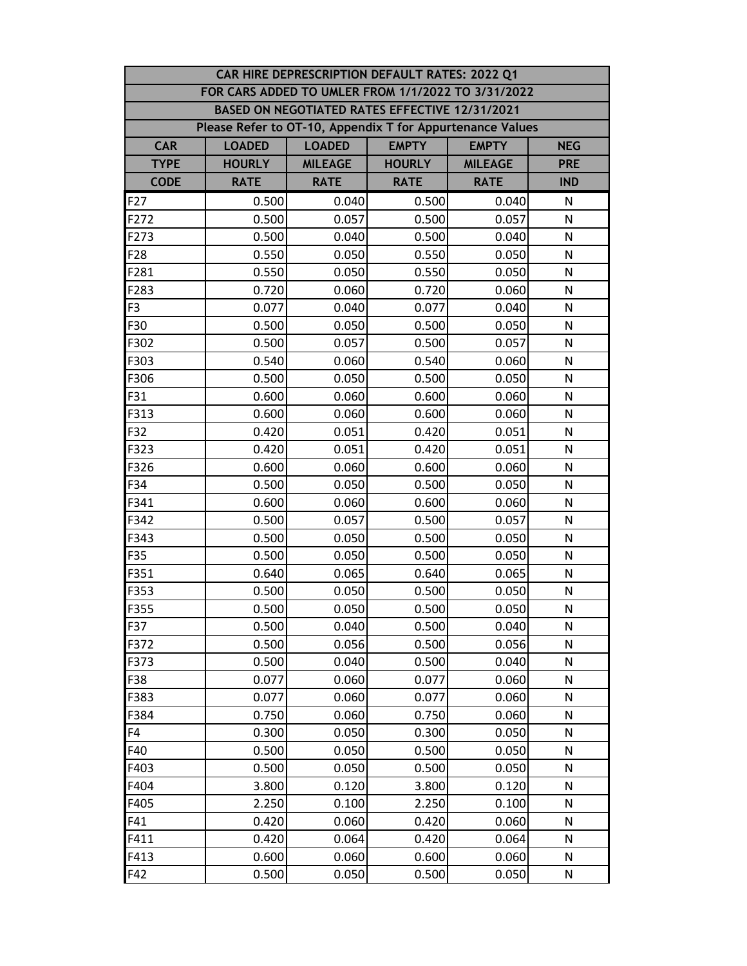|                 | CAR HIRE DEPRESCRIPTION DEFAULT RATES: 2022 Q1            |                                                             |                                                |                |              |  |  |  |
|-----------------|-----------------------------------------------------------|-------------------------------------------------------------|------------------------------------------------|----------------|--------------|--|--|--|
|                 | FOR CARS ADDED TO UMLER FROM 1/1/2022 TO 3/31/2022        |                                                             |                                                |                |              |  |  |  |
|                 |                                                           |                                                             | BASED ON NEGOTIATED RATES EFFECTIVE 12/31/2021 |                |              |  |  |  |
|                 | Please Refer to OT-10, Appendix T for Appurtenance Values |                                                             |                                                |                |              |  |  |  |
| <b>CAR</b>      | <b>LOADED</b>                                             | <b>EMPTY</b><br><b>LOADED</b><br><b>EMPTY</b><br><b>NEG</b> |                                                |                |              |  |  |  |
| <b>TYPE</b>     | <b>HOURLY</b>                                             | <b>MILEAGE</b>                                              | <b>HOURLY</b>                                  | <b>MILEAGE</b> | <b>PRE</b>   |  |  |  |
| <b>CODE</b>     | <b>RATE</b>                                               | <b>RATE</b>                                                 | <b>RATE</b>                                    | <b>RATE</b>    | <b>IND</b>   |  |  |  |
| F <sub>27</sub> | 0.500                                                     | 0.040                                                       | 0.500                                          | 0.040          | N            |  |  |  |
| F272            | 0.500                                                     | 0.057                                                       | 0.500                                          | 0.057          | N            |  |  |  |
| F273            | 0.500                                                     | 0.040                                                       | 0.500                                          | 0.040          | N            |  |  |  |
| F28             | 0.550                                                     | 0.050                                                       | 0.550                                          | 0.050          | N            |  |  |  |
| F281            | 0.550                                                     | 0.050                                                       | 0.550                                          | 0.050          | N            |  |  |  |
| F283            | 0.720                                                     | 0.060                                                       | 0.720                                          | 0.060          | N            |  |  |  |
| F <sub>3</sub>  | 0.077                                                     | 0.040                                                       | 0.077                                          | 0.040          | N            |  |  |  |
| F30             | 0.500                                                     | 0.050                                                       | 0.500                                          | 0.050          | N            |  |  |  |
| F302            | 0.500                                                     | 0.057                                                       | 0.500                                          | 0.057          | N            |  |  |  |
| F303            | 0.540                                                     | 0.060                                                       | 0.540                                          | 0.060          | N            |  |  |  |
| F306            | 0.500                                                     | 0.050                                                       | 0.500                                          | 0.050          | N            |  |  |  |
| F31             | 0.600                                                     | 0.060                                                       | 0.600                                          | 0.060          | N            |  |  |  |
| F313            | 0.600                                                     | 0.060                                                       | 0.600                                          | 0.060          | N            |  |  |  |
| F32             | 0.420                                                     | 0.051                                                       | 0.420                                          | 0.051          | N            |  |  |  |
| F323            | 0.420                                                     | 0.051                                                       | 0.420                                          | 0.051          | N            |  |  |  |
| F326            | 0.600                                                     | 0.060                                                       | 0.600                                          | 0.060          | N            |  |  |  |
| F34             | 0.500                                                     | 0.050                                                       | 0.500                                          | 0.050          | N            |  |  |  |
| F341            | 0.600                                                     | 0.060                                                       | 0.600                                          | 0.060          | $\mathsf{N}$ |  |  |  |
| F342            | 0.500                                                     | 0.057                                                       | 0.500                                          | 0.057          | N            |  |  |  |
| F343            | 0.500                                                     | 0.050                                                       | 0.500                                          | 0.050          | N            |  |  |  |
| F35             | 0.500                                                     | 0.050                                                       | 0.500                                          | 0.050          | N            |  |  |  |
| F351            | 0.640                                                     | 0.065                                                       | 0.640                                          | 0.065          | N            |  |  |  |
| F353            | 0.500                                                     | 0.050                                                       | 0.500                                          | 0.050          | N            |  |  |  |
| F355            | 0.500                                                     | 0.050                                                       | 0.500                                          | 0.050          | ${\sf N}$    |  |  |  |
| F37             | 0.500                                                     | 0.040                                                       | 0.500                                          | 0.040          | N            |  |  |  |
| F372            | 0.500                                                     | 0.056                                                       | 0.500                                          | 0.056          | N            |  |  |  |
| F373            | 0.500                                                     | 0.040                                                       | 0.500                                          | 0.040          | N            |  |  |  |
| F38             | 0.077                                                     | 0.060                                                       | 0.077                                          | 0.060          | N            |  |  |  |
| F383            | 0.077                                                     | 0.060                                                       | 0.077                                          | 0.060          | N            |  |  |  |
| F384            | 0.750                                                     | 0.060                                                       | 0.750                                          | 0.060          | N            |  |  |  |
| F4              | 0.300                                                     | 0.050                                                       | 0.300                                          | 0.050          | N            |  |  |  |
| F40             | 0.500                                                     | 0.050                                                       | 0.500                                          | 0.050          | N            |  |  |  |
| F403            | 0.500                                                     | 0.050                                                       | 0.500                                          | 0.050          | N            |  |  |  |
| F404            | 3.800                                                     | 0.120                                                       | 3.800                                          | 0.120          | N            |  |  |  |
| F405            | 2.250                                                     | 0.100                                                       | 2.250                                          | 0.100          | N            |  |  |  |
| F41             | 0.420                                                     | 0.060                                                       | 0.420                                          | 0.060          | N            |  |  |  |
| F411            | 0.420                                                     | 0.064                                                       | 0.420                                          | 0.064          | N            |  |  |  |
| F413            | 0.600                                                     | 0.060                                                       | 0.600                                          | 0.060          | N            |  |  |  |
| F42             | 0.500                                                     | 0.050                                                       | 0.500                                          | 0.050          | ${\sf N}$    |  |  |  |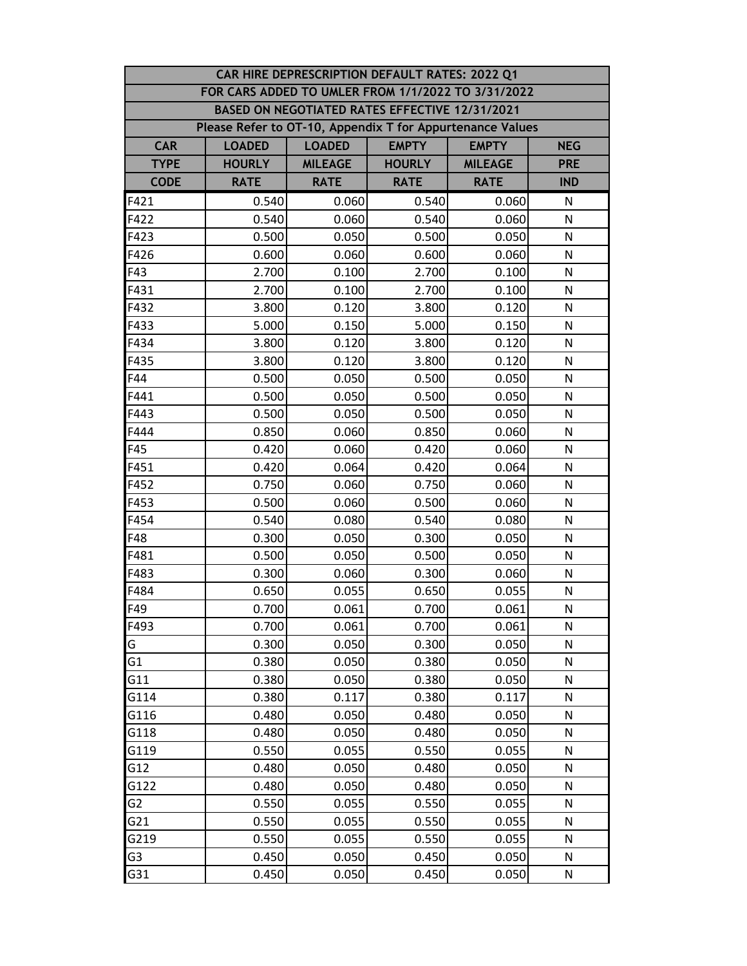|                | CAR HIRE DEPRESCRIPTION DEFAULT RATES: 2022 Q1            |                                                             |                                                |                |              |  |  |  |
|----------------|-----------------------------------------------------------|-------------------------------------------------------------|------------------------------------------------|----------------|--------------|--|--|--|
|                | FOR CARS ADDED TO UMLER FROM 1/1/2022 TO 3/31/2022        |                                                             |                                                |                |              |  |  |  |
|                |                                                           |                                                             | BASED ON NEGOTIATED RATES EFFECTIVE 12/31/2021 |                |              |  |  |  |
|                | Please Refer to OT-10, Appendix T for Appurtenance Values |                                                             |                                                |                |              |  |  |  |
| <b>CAR</b>     | <b>LOADED</b>                                             | <b>EMPTY</b><br><b>LOADED</b><br><b>EMPTY</b><br><b>NEG</b> |                                                |                |              |  |  |  |
| <b>TYPE</b>    | <b>HOURLY</b>                                             | <b>MILEAGE</b>                                              | <b>HOURLY</b>                                  | <b>MILEAGE</b> | <b>PRE</b>   |  |  |  |
| <b>CODE</b>    | <b>RATE</b>                                               | <b>RATE</b>                                                 | <b>RATE</b>                                    | <b>RATE</b>    | <b>IND</b>   |  |  |  |
| F421           | 0.540                                                     | 0.060                                                       | 0.540                                          | 0.060          | N            |  |  |  |
| F422           | 0.540                                                     | 0.060                                                       | 0.540                                          | 0.060          | N            |  |  |  |
| F423           | 0.500                                                     | 0.050                                                       | 0.500                                          | 0.050          | N            |  |  |  |
| F426           | 0.600                                                     | 0.060                                                       | 0.600                                          | 0.060          | N            |  |  |  |
| F43            | 2.700                                                     | 0.100                                                       | 2.700                                          | 0.100          | N            |  |  |  |
| F431           | 2.700                                                     | 0.100                                                       | 2.700                                          | 0.100          | N            |  |  |  |
| F432           | 3.800                                                     | 0.120                                                       | 3.800                                          | 0.120          | N            |  |  |  |
| F433           | 5.000                                                     | 0.150                                                       | 5.000                                          | 0.150          | N            |  |  |  |
| F434           | 3.800                                                     | 0.120                                                       | 3.800                                          | 0.120          | N            |  |  |  |
| F435           | 3.800                                                     | 0.120                                                       | 3.800                                          | 0.120          | N            |  |  |  |
| F44            | 0.500                                                     | 0.050                                                       | 0.500                                          | 0.050          | N            |  |  |  |
| F441           | 0.500                                                     | 0.050                                                       | 0.500                                          | 0.050          | N            |  |  |  |
| F443           | 0.500                                                     | 0.050                                                       | 0.500                                          | 0.050          | N            |  |  |  |
| F444           | 0.850                                                     | 0.060                                                       | 0.850                                          | 0.060          | N            |  |  |  |
| F45            | 0.420                                                     | 0.060                                                       | 0.420                                          | 0.060          | N            |  |  |  |
| F451           | 0.420                                                     | 0.064                                                       | 0.420                                          | 0.064          | N            |  |  |  |
| F452           | 0.750                                                     | 0.060                                                       | 0.750                                          | 0.060          | N            |  |  |  |
| F453           | 0.500                                                     | 0.060                                                       | 0.500                                          | 0.060          | $\mathsf{N}$ |  |  |  |
| F454           | 0.540                                                     | 0.080                                                       | 0.540                                          | 0.080          | N            |  |  |  |
| F48            | 0.300                                                     | 0.050                                                       | 0.300                                          | 0.050          | N            |  |  |  |
| F481           | 0.500                                                     | 0.050                                                       | 0.500                                          | 0.050          | N            |  |  |  |
| F483           | 0.300                                                     | 0.060                                                       | 0.300                                          | 0.060          | N            |  |  |  |
| F484           | 0.650                                                     | 0.055                                                       | 0.650                                          | 0.055          | N            |  |  |  |
| F49            | 0.700                                                     | 0.061                                                       | 0.700                                          | 0.061          | ${\sf N}$    |  |  |  |
| F493           | 0.700                                                     | 0.061                                                       | 0.700                                          | 0.061          | N            |  |  |  |
| G              | 0.300                                                     | 0.050                                                       | 0.300                                          | 0.050          | N            |  |  |  |
| G <sub>1</sub> | 0.380                                                     | 0.050                                                       | 0.380                                          | 0.050          | N            |  |  |  |
| G11            | 0.380                                                     | 0.050                                                       | 0.380                                          | 0.050          | N            |  |  |  |
| G114           | 0.380                                                     | 0.117                                                       | 0.380                                          | 0.117          | N            |  |  |  |
| G116           | 0.480                                                     | 0.050                                                       | 0.480                                          | 0.050          | N            |  |  |  |
| G118           | 0.480                                                     | 0.050                                                       | 0.480                                          | 0.050          | N            |  |  |  |
| G119           | 0.550                                                     | 0.055                                                       | 0.550                                          | 0.055          | N            |  |  |  |
| G12            | 0.480                                                     | 0.050                                                       | 0.480                                          | 0.050          | N            |  |  |  |
| G122           | 0.480                                                     | 0.050                                                       | 0.480                                          | 0.050          | N            |  |  |  |
| G <sub>2</sub> | 0.550                                                     | 0.055                                                       | 0.550                                          | 0.055          | N            |  |  |  |
| G21            | 0.550                                                     | 0.055                                                       | 0.550                                          | 0.055          | N            |  |  |  |
| G219           | 0.550                                                     | 0.055                                                       | 0.550                                          | 0.055          | N            |  |  |  |
| G3             | 0.450                                                     | 0.050                                                       | 0.450                                          | 0.050          | N            |  |  |  |
| G31            | 0.450                                                     | 0.050                                                       | 0.450                                          | 0.050          | ${\sf N}$    |  |  |  |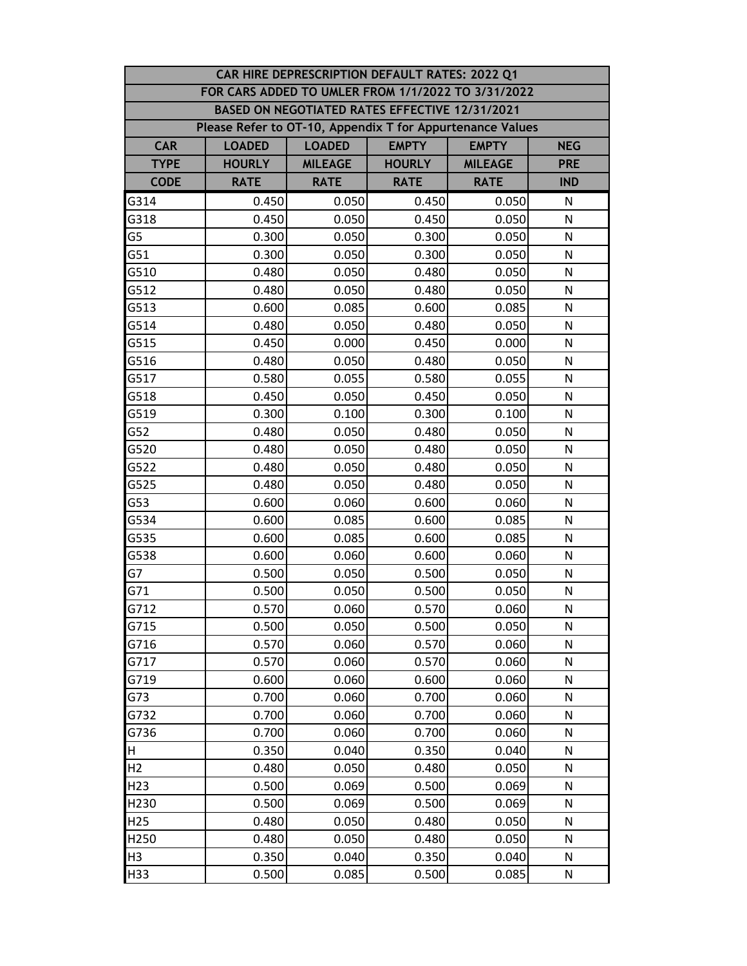|                 | CAR HIRE DEPRESCRIPTION DEFAULT RATES: 2022 Q1                               |                |                                                |                |              |  |  |
|-----------------|------------------------------------------------------------------------------|----------------|------------------------------------------------|----------------|--------------|--|--|
|                 | FOR CARS ADDED TO UMLER FROM 1/1/2022 TO 3/31/2022                           |                |                                                |                |              |  |  |
|                 |                                                                              |                | BASED ON NEGOTIATED RATES EFFECTIVE 12/31/2021 |                |              |  |  |
|                 | Please Refer to OT-10, Appendix T for Appurtenance Values                    |                |                                                |                |              |  |  |
| <b>CAR</b>      | <b>EMPTY</b><br><b>LOADED</b><br><b>LOADED</b><br><b>EMPTY</b><br><b>NEG</b> |                |                                                |                |              |  |  |
| <b>TYPE</b>     | <b>HOURLY</b>                                                                | <b>MILEAGE</b> | <b>HOURLY</b>                                  | <b>MILEAGE</b> | <b>PRE</b>   |  |  |
| <b>CODE</b>     | <b>RATE</b>                                                                  | <b>RATE</b>    | <b>RATE</b>                                    | <b>RATE</b>    | <b>IND</b>   |  |  |
| G314            | 0.450                                                                        | 0.050          | 0.450                                          | 0.050          | N            |  |  |
| G318            | 0.450                                                                        | 0.050          | 0.450                                          | 0.050          | N            |  |  |
| G5              | 0.300                                                                        | 0.050          | 0.300                                          | 0.050          | N            |  |  |
| G51             | 0.300                                                                        | 0.050          | 0.300                                          | 0.050          | N            |  |  |
| G510            | 0.480                                                                        | 0.050          | 0.480                                          | 0.050          | N            |  |  |
| G512            | 0.480                                                                        | 0.050          | 0.480                                          | 0.050          | N            |  |  |
| G513            | 0.600                                                                        | 0.085          | 0.600                                          | 0.085          | N            |  |  |
| G514            | 0.480                                                                        | 0.050          | 0.480                                          | 0.050          | N            |  |  |
| G515            | 0.450                                                                        | 0.000          | 0.450                                          | 0.000          | N            |  |  |
| G516            | 0.480                                                                        | 0.050          | 0.480                                          | 0.050          | N            |  |  |
| G517            | 0.580                                                                        | 0.055          | 0.580                                          | 0.055          | N            |  |  |
| G518            | 0.450                                                                        | 0.050          | 0.450                                          | 0.050          | N            |  |  |
| G519            | 0.300                                                                        | 0.100          | 0.300                                          | 0.100          | N            |  |  |
| G52             | 0.480                                                                        | 0.050          | 0.480                                          | 0.050          | N            |  |  |
| G520            | 0.480                                                                        | 0.050          | 0.480                                          | 0.050          | N            |  |  |
| G522            | 0.480                                                                        | 0.050          | 0.480                                          | 0.050          | N            |  |  |
| G525            | 0.480                                                                        | 0.050          | 0.480                                          | 0.050          | N            |  |  |
| G53             | 0.600                                                                        | 0.060          | 0.600                                          | 0.060          | $\mathsf{N}$ |  |  |
| G534            | 0.600                                                                        | 0.085          | 0.600                                          | 0.085          | N            |  |  |
| G535            | 0.600                                                                        | 0.085          | 0.600                                          | 0.085          | N            |  |  |
| G538            | 0.600                                                                        | 0.060          | 0.600                                          | 0.060          | N            |  |  |
| G7              | 0.500                                                                        | 0.050          | 0.500                                          | 0.050          | N            |  |  |
| G71             | 0.500                                                                        | 0.050          | 0.500                                          | 0.050          | N            |  |  |
| G712            | 0.570                                                                        | 0.060          | 0.570                                          | 0.060          | ${\sf N}$    |  |  |
| G715            | 0.500                                                                        | 0.050          | 0.500                                          | 0.050          | N            |  |  |
| G716            | 0.570                                                                        | 0.060          | 0.570                                          | 0.060          | N            |  |  |
| G717            | 0.570                                                                        | 0.060          | 0.570                                          | 0.060          | N            |  |  |
| G719            | 0.600                                                                        | 0.060          | 0.600                                          | 0.060          | N            |  |  |
| G73             | 0.700                                                                        | 0.060          | 0.700                                          | 0.060          | N            |  |  |
| G732            | 0.700                                                                        | 0.060          | 0.700                                          | 0.060          | $\mathsf{N}$ |  |  |
| G736            | 0.700                                                                        | 0.060          | 0.700                                          | 0.060          | N            |  |  |
| H               | 0.350                                                                        | 0.040          | 0.350                                          | 0.040          | N            |  |  |
| H <sub>2</sub>  | 0.480                                                                        | 0.050          | 0.480                                          | 0.050          | N            |  |  |
| H <sub>23</sub> | 0.500                                                                        | 0.069          | 0.500                                          | 0.069          | N            |  |  |
| H230            | 0.500                                                                        | 0.069          | 0.500                                          | 0.069          | N            |  |  |
| H <sub>25</sub> | 0.480                                                                        | 0.050          | 0.480                                          | 0.050          | N            |  |  |
| H250            | 0.480                                                                        | 0.050          | 0.480                                          | 0.050          | N            |  |  |
| H <sub>3</sub>  | 0.350                                                                        | 0.040          | 0.350                                          | 0.040          | N            |  |  |
| H33             | 0.500                                                                        | 0.085          | 0.500                                          | 0.085          | ${\sf N}$    |  |  |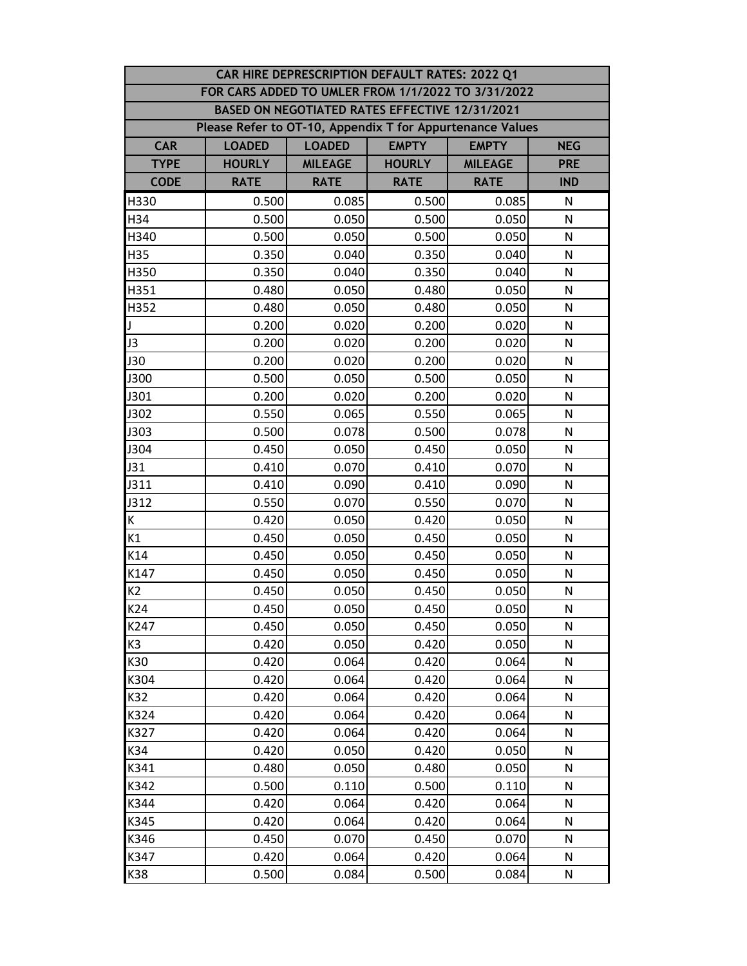| CAR HIRE DEPRESCRIPTION DEFAULT RATES: 2022 Q1 |                                                           |                                                             |                                                |                |              |  |  |  |
|------------------------------------------------|-----------------------------------------------------------|-------------------------------------------------------------|------------------------------------------------|----------------|--------------|--|--|--|
|                                                | FOR CARS ADDED TO UMLER FROM 1/1/2022 TO 3/31/2022        |                                                             |                                                |                |              |  |  |  |
|                                                |                                                           |                                                             | BASED ON NEGOTIATED RATES EFFECTIVE 12/31/2021 |                |              |  |  |  |
|                                                | Please Refer to OT-10, Appendix T for Appurtenance Values |                                                             |                                                |                |              |  |  |  |
| <b>CAR</b>                                     | <b>LOADED</b>                                             | <b>EMPTY</b><br><b>LOADED</b><br><b>EMPTY</b><br><b>NEG</b> |                                                |                |              |  |  |  |
| <b>TYPE</b>                                    | <b>HOURLY</b>                                             | <b>MILEAGE</b>                                              | <b>HOURLY</b>                                  | <b>MILEAGE</b> | <b>PRE</b>   |  |  |  |
| <b>CODE</b>                                    | <b>RATE</b>                                               | <b>RATE</b>                                                 | <b>RATE</b>                                    | <b>RATE</b>    | <b>IND</b>   |  |  |  |
| H330                                           | 0.500                                                     | 0.085                                                       | 0.500                                          | 0.085          | N            |  |  |  |
| H34                                            | 0.500                                                     | 0.050                                                       | 0.500                                          | 0.050          | N            |  |  |  |
| H340                                           | 0.500                                                     | 0.050                                                       | 0.500                                          | 0.050          | N            |  |  |  |
| H35                                            | 0.350                                                     | 0.040                                                       | 0.350                                          | 0.040          | N            |  |  |  |
| H350                                           | 0.350                                                     | 0.040                                                       | 0.350                                          | 0.040          | N            |  |  |  |
| H351                                           | 0.480                                                     | 0.050                                                       | 0.480                                          | 0.050          | N            |  |  |  |
| H352                                           | 0.480                                                     | 0.050                                                       | 0.480                                          | 0.050          | N            |  |  |  |
| J                                              | 0.200                                                     | 0.020                                                       | 0.200                                          | 0.020          | N            |  |  |  |
| J3                                             | 0.200                                                     | 0.020                                                       | 0.200                                          | 0.020          | N            |  |  |  |
| <b>J30</b>                                     | 0.200                                                     | 0.020                                                       | 0.200                                          | 0.020          | N            |  |  |  |
| <b>J300</b>                                    | 0.500                                                     | 0.050                                                       | 0.500                                          | 0.050          | N            |  |  |  |
| J301                                           | 0.200                                                     | 0.020                                                       | 0.200                                          | 0.020          | N            |  |  |  |
| J302                                           | 0.550                                                     | 0.065                                                       | 0.550                                          | 0.065          | N            |  |  |  |
| J303                                           | 0.500                                                     | 0.078                                                       | 0.500                                          | 0.078          | N            |  |  |  |
| J304                                           | 0.450                                                     | 0.050                                                       | 0.450                                          | 0.050          | N            |  |  |  |
| J31                                            | 0.410                                                     | 0.070                                                       | 0.410                                          | 0.070          | N            |  |  |  |
| J311                                           | 0.410                                                     | 0.090                                                       | 0.410                                          | 0.090          | ${\sf N}$    |  |  |  |
| J312                                           | 0.550                                                     | 0.070                                                       | 0.550                                          | 0.070          | $\mathsf{N}$ |  |  |  |
| K                                              | 0.420                                                     | 0.050                                                       | 0.420                                          | 0.050          | N            |  |  |  |
| K1                                             | 0.450                                                     | 0.050                                                       | 0.450                                          | 0.050          | N            |  |  |  |
| K14                                            | 0.450                                                     | 0.050                                                       | 0.450                                          | 0.050          | N            |  |  |  |
| K147                                           | 0.450                                                     | 0.050                                                       | 0.450                                          | 0.050          | N            |  |  |  |
| K2                                             | 0.450                                                     | 0.050                                                       | 0.450                                          | 0.050          | N            |  |  |  |
| K24                                            | 0.450                                                     | 0.050                                                       | 0.450                                          | 0.050          | ${\sf N}$    |  |  |  |
| K247                                           | 0.450                                                     | 0.050                                                       | 0.450                                          | 0.050          | N            |  |  |  |
| K <sub>3</sub>                                 | 0.420                                                     | 0.050                                                       | 0.420                                          | 0.050          | N            |  |  |  |
| K30                                            | 0.420                                                     | 0.064                                                       | 0.420                                          | 0.064          | N            |  |  |  |
| K304                                           | 0.420                                                     | 0.064                                                       | 0.420                                          | 0.064          | N            |  |  |  |
| K32                                            | 0.420                                                     | 0.064                                                       | 0.420                                          | 0.064          | N            |  |  |  |
| K324                                           | 0.420                                                     | 0.064                                                       | 0.420                                          | 0.064          | ${\sf N}$    |  |  |  |
| K327                                           | 0.420                                                     | 0.064                                                       | 0.420                                          | 0.064          | N            |  |  |  |
| K34                                            | 0.420                                                     | 0.050                                                       | 0.420                                          | 0.050          | N            |  |  |  |
| K341                                           | 0.480                                                     | 0.050                                                       | 0.480                                          | 0.050          | N            |  |  |  |
| K342                                           | 0.500                                                     | 0.110                                                       | 0.500                                          | 0.110          | N            |  |  |  |
| K344                                           | 0.420                                                     | 0.064                                                       | 0.420                                          | 0.064          | N            |  |  |  |
| K345                                           | 0.420                                                     | 0.064                                                       | 0.420                                          | 0.064          | N            |  |  |  |
| K346                                           | 0.450                                                     | 0.070                                                       | 0.450                                          | 0.070          | N            |  |  |  |
| K347                                           | 0.420                                                     | 0.064                                                       | 0.420                                          | 0.064          | N            |  |  |  |
| K38                                            | 0.500                                                     | 0.084                                                       | 0.500                                          | 0.084          | N            |  |  |  |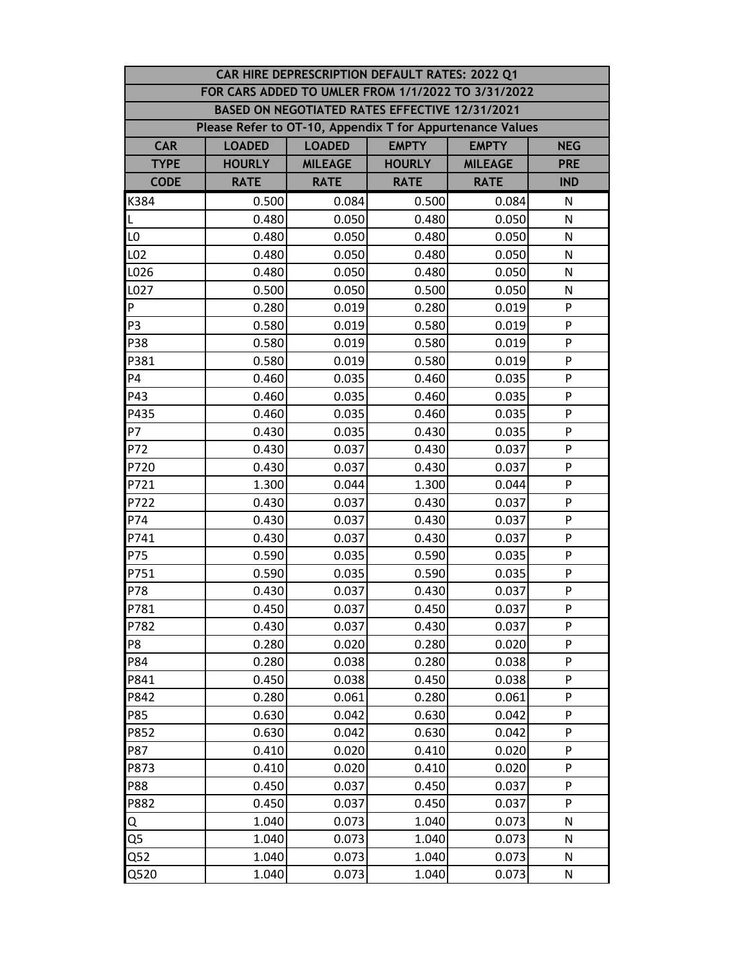|                                                           | CAR HIRE DEPRESCRIPTION DEFAULT RATES: 2022 Q1                               |                |                                                |                |              |  |  |  |
|-----------------------------------------------------------|------------------------------------------------------------------------------|----------------|------------------------------------------------|----------------|--------------|--|--|--|
|                                                           | FOR CARS ADDED TO UMLER FROM 1/1/2022 TO 3/31/2022                           |                |                                                |                |              |  |  |  |
|                                                           |                                                                              |                | BASED ON NEGOTIATED RATES EFFECTIVE 12/31/2021 |                |              |  |  |  |
| Please Refer to OT-10, Appendix T for Appurtenance Values |                                                                              |                |                                                |                |              |  |  |  |
| <b>CAR</b>                                                | <b>LOADED</b><br><b>EMPTY</b><br><b>LOADED</b><br><b>EMPTY</b><br><b>NEG</b> |                |                                                |                |              |  |  |  |
| <b>TYPE</b>                                               | <b>HOURLY</b>                                                                | <b>MILEAGE</b> | <b>HOURLY</b>                                  | <b>MILEAGE</b> | <b>PRE</b>   |  |  |  |
| <b>CODE</b>                                               | <b>RATE</b>                                                                  | <b>RATE</b>    | <b>RATE</b>                                    | <b>RATE</b>    | <b>IND</b>   |  |  |  |
| K384                                                      | 0.500                                                                        | 0.084          | 0.500                                          | 0.084          | N            |  |  |  |
| L                                                         | 0.480                                                                        | 0.050          | 0.480                                          | 0.050          | N            |  |  |  |
| LO                                                        | 0.480                                                                        | 0.050          | 0.480                                          | 0.050          | N            |  |  |  |
| L02                                                       | 0.480                                                                        | 0.050          | 0.480                                          | 0.050          | $\mathsf{N}$ |  |  |  |
| L026                                                      | 0.480                                                                        | 0.050          | 0.480                                          | 0.050          | N            |  |  |  |
| L027                                                      | 0.500                                                                        | 0.050          | 0.500                                          | 0.050          | N            |  |  |  |
| P                                                         | 0.280                                                                        | 0.019          | 0.280                                          | 0.019          | P            |  |  |  |
| P3                                                        | 0.580                                                                        | 0.019          | 0.580                                          | 0.019          | P            |  |  |  |
| P38                                                       | 0.580                                                                        | 0.019          | 0.580                                          | 0.019          | P            |  |  |  |
| P381                                                      | 0.580                                                                        | 0.019          | 0.580                                          | 0.019          | P            |  |  |  |
| <b>P4</b>                                                 | 0.460                                                                        | 0.035          | 0.460                                          | 0.035          | P            |  |  |  |
| P43                                                       | 0.460                                                                        | 0.035          | 0.460                                          | 0.035          | P            |  |  |  |
| P435                                                      | 0.460                                                                        | 0.035          | 0.460                                          | 0.035          | P            |  |  |  |
| P7                                                        | 0.430                                                                        | 0.035          | 0.430                                          | 0.035          | P            |  |  |  |
| P72                                                       | 0.430                                                                        | 0.037          | 0.430                                          | 0.037          | P            |  |  |  |
| P720                                                      | 0.430                                                                        | 0.037          | 0.430                                          | 0.037          | P            |  |  |  |
| P721                                                      | 1.300                                                                        | 0.044          | 1.300                                          | 0.044          | P            |  |  |  |
| P722                                                      | 0.430                                                                        | 0.037          | 0.430                                          | 0.037          | P            |  |  |  |
| P74                                                       | 0.430                                                                        | 0.037          | 0.430                                          | 0.037          | P            |  |  |  |
| P741                                                      | 0.430                                                                        | 0.037          | 0.430                                          | 0.037          | P            |  |  |  |
| P75                                                       | 0.590                                                                        | 0.035          | 0.590                                          | 0.035          | P            |  |  |  |
| P751                                                      | 0.590                                                                        | 0.035          | 0.590                                          | 0.035          | P            |  |  |  |
| P78                                                       | 0.430                                                                        | 0.037          | 0.430                                          | 0.037          | P            |  |  |  |
| P781                                                      | 0.450                                                                        | 0.037          | 0.450                                          | 0.037          | P            |  |  |  |
| P782                                                      | 0.430                                                                        | 0.037          | 0.430                                          | 0.037          | P            |  |  |  |
| P8                                                        | 0.280                                                                        | 0.020          | 0.280                                          | 0.020          | P            |  |  |  |
| P84                                                       | 0.280                                                                        | 0.038          | 0.280                                          | 0.038          | P            |  |  |  |
| P841                                                      | 0.450                                                                        | 0.038          | 0.450                                          | 0.038          | P            |  |  |  |
| P842                                                      | 0.280                                                                        | 0.061          | 0.280                                          | 0.061          | P            |  |  |  |
| P85                                                       | 0.630                                                                        | 0.042          | 0.630                                          | 0.042          | P            |  |  |  |
| P852                                                      | 0.630                                                                        | 0.042          | 0.630                                          | 0.042          | P            |  |  |  |
| P87                                                       | 0.410                                                                        | 0.020          | 0.410                                          | 0.020          | P            |  |  |  |
| P873                                                      | 0.410                                                                        | 0.020          | 0.410                                          | 0.020          | P            |  |  |  |
| P88                                                       | 0.450                                                                        | 0.037          | 0.450                                          | 0.037          | P            |  |  |  |
| P882                                                      | 0.450                                                                        | 0.037          | 0.450                                          | 0.037          | P            |  |  |  |
| Q                                                         | 1.040                                                                        | 0.073          | 1.040                                          | 0.073          | N            |  |  |  |
| Q5                                                        | 1.040                                                                        | 0.073          | 1.040                                          | 0.073          | N            |  |  |  |
| Q52                                                       | 1.040                                                                        | 0.073          | 1.040                                          | 0.073          | N            |  |  |  |
| Q520                                                      | 1.040                                                                        | 0.073          | 1.040                                          | 0.073          | N            |  |  |  |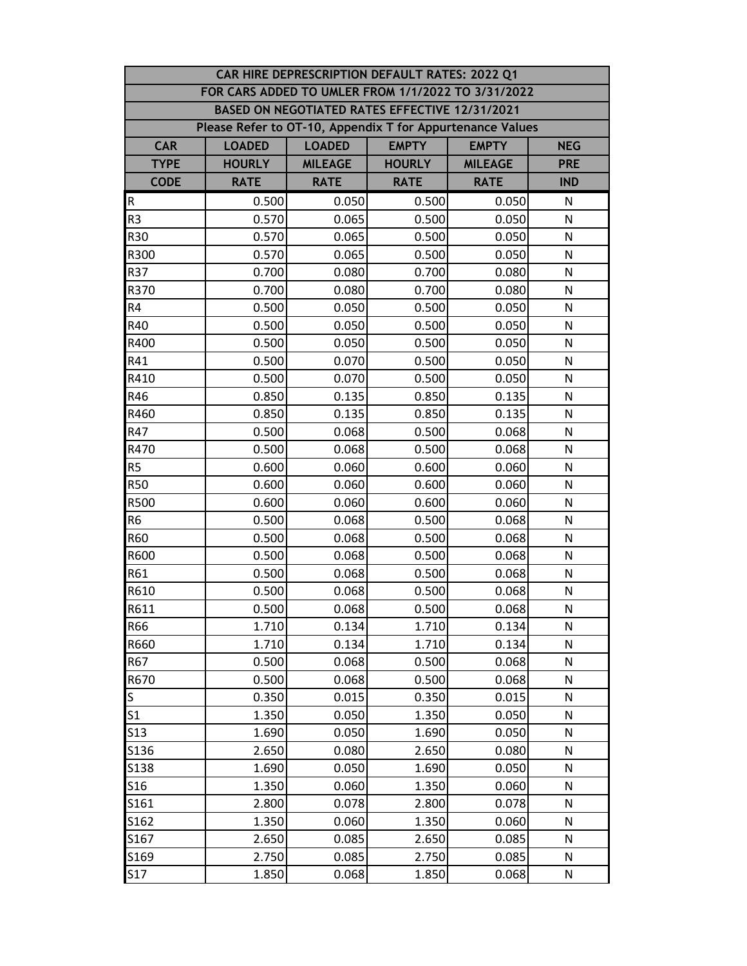|                 | CAR HIRE DEPRESCRIPTION DEFAULT RATES: 2022 Q1            |                                                             |                                                |                |              |  |  |  |
|-----------------|-----------------------------------------------------------|-------------------------------------------------------------|------------------------------------------------|----------------|--------------|--|--|--|
|                 | FOR CARS ADDED TO UMLER FROM 1/1/2022 TO 3/31/2022        |                                                             |                                                |                |              |  |  |  |
|                 |                                                           |                                                             | BASED ON NEGOTIATED RATES EFFECTIVE 12/31/2021 |                |              |  |  |  |
|                 | Please Refer to OT-10, Appendix T for Appurtenance Values |                                                             |                                                |                |              |  |  |  |
| <b>CAR</b>      | <b>LOADED</b>                                             | <b>EMPTY</b><br><b>LOADED</b><br><b>EMPTY</b><br><b>NEG</b> |                                                |                |              |  |  |  |
| <b>TYPE</b>     | <b>HOURLY</b>                                             | <b>MILEAGE</b>                                              | <b>HOURLY</b>                                  | <b>MILEAGE</b> | <b>PRE</b>   |  |  |  |
| <b>CODE</b>     | <b>RATE</b>                                               | <b>RATE</b>                                                 | <b>RATE</b>                                    | <b>RATE</b>    | <b>IND</b>   |  |  |  |
| $\mathsf R$     | 0.500                                                     | 0.050                                                       | 0.500                                          | 0.050          | N            |  |  |  |
| R <sub>3</sub>  | 0.570                                                     | 0.065                                                       | 0.500                                          | 0.050          | N            |  |  |  |
| R30             | 0.570                                                     | 0.065                                                       | 0.500                                          | 0.050          | N            |  |  |  |
| R300            | 0.570                                                     | 0.065                                                       | 0.500                                          | 0.050          | N            |  |  |  |
| R37             | 0.700                                                     | 0.080                                                       | 0.700                                          | 0.080          | N            |  |  |  |
| R370            | 0.700                                                     | 0.080                                                       | 0.700                                          | 0.080          | N            |  |  |  |
| R4              | 0.500                                                     | 0.050                                                       | 0.500                                          | 0.050          | N            |  |  |  |
| R40             | 0.500                                                     | 0.050                                                       | 0.500                                          | 0.050          | N            |  |  |  |
| R400            | 0.500                                                     | 0.050                                                       | 0.500                                          | 0.050          | N            |  |  |  |
| R41             | 0.500                                                     | 0.070                                                       | 0.500                                          | 0.050          | N            |  |  |  |
| R410            | 0.500                                                     | 0.070                                                       | 0.500                                          | 0.050          | N            |  |  |  |
| R46             | 0.850                                                     | 0.135                                                       | 0.850                                          | 0.135          | N            |  |  |  |
| R460            | 0.850                                                     | 0.135                                                       | 0.850                                          | 0.135          | N            |  |  |  |
| R47             | 0.500                                                     | 0.068                                                       | 0.500                                          | 0.068          | N            |  |  |  |
| R470            | 0.500                                                     | 0.068                                                       | 0.500                                          | 0.068          | N            |  |  |  |
| R <sub>5</sub>  | 0.600                                                     | 0.060                                                       | 0.600                                          | 0.060          | N            |  |  |  |
| <b>R50</b>      | 0.600                                                     | 0.060                                                       | 0.600                                          | 0.060          | ${\sf N}$    |  |  |  |
| R500            | 0.600                                                     | 0.060                                                       | 0.600                                          | 0.060          | $\mathsf{N}$ |  |  |  |
| R <sub>6</sub>  | 0.500                                                     | 0.068                                                       | 0.500                                          | 0.068          | N            |  |  |  |
| R60             | 0.500                                                     | 0.068                                                       | 0.500                                          | 0.068          | N            |  |  |  |
| R600            | 0.500                                                     | 0.068                                                       | 0.500                                          | 0.068          | N            |  |  |  |
| R61             | 0.500                                                     | 0.068                                                       | 0.500                                          | 0.068          | N            |  |  |  |
| R610            | 0.500                                                     | 0.068                                                       | 0.500                                          | 0.068          | N            |  |  |  |
| R611            | 0.500                                                     | 0.068                                                       | 0.500                                          | 0.068          | ${\sf N}$    |  |  |  |
| R66             | 1.710                                                     | 0.134                                                       | 1.710                                          | 0.134          | N            |  |  |  |
| R660            | 1.710                                                     | 0.134                                                       | 1.710                                          | 0.134          | N            |  |  |  |
| R67             | 0.500                                                     | 0.068                                                       | 0.500                                          | 0.068          | N            |  |  |  |
| R670            | 0.500                                                     | 0.068                                                       | 0.500                                          | 0.068          | N            |  |  |  |
| <sub>S</sub>    | 0.350                                                     | 0.015                                                       | 0.350                                          | 0.015          | N            |  |  |  |
| S <sub>1</sub>  | 1.350                                                     | 0.050                                                       | 1.350                                          | 0.050          | N            |  |  |  |
| S <sub>13</sub> | 1.690                                                     | 0.050                                                       | 1.690                                          | 0.050          | N            |  |  |  |
| S136            | 2.650                                                     | 0.080                                                       | 2.650                                          | 0.080          | N            |  |  |  |
| S138            | 1.690                                                     | 0.050                                                       | 1.690                                          | 0.050          | N            |  |  |  |
| S <sub>16</sub> | 1.350                                                     | 0.060                                                       | 1.350                                          | 0.060          | N            |  |  |  |
| S161            | 2.800                                                     | 0.078                                                       | 2.800                                          | 0.078          | N            |  |  |  |
| S162            | 1.350                                                     | 0.060                                                       | 1.350                                          | 0.060          | N            |  |  |  |
| S167            | 2.650                                                     | 0.085                                                       | 2.650                                          | 0.085          | N            |  |  |  |
| S169            | 2.750                                                     | 0.085                                                       | 2.750                                          | 0.085          | N            |  |  |  |
| S17             | 1.850                                                     | 0.068                                                       | 1.850                                          | 0.068          | N            |  |  |  |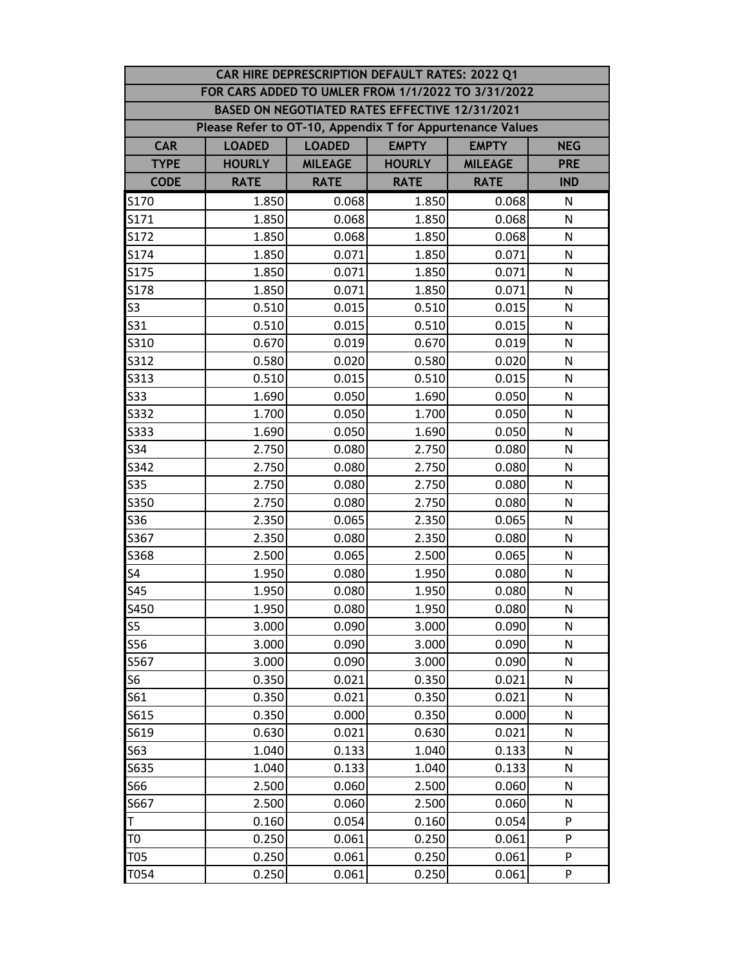|                                                           | CAR HIRE DEPRESCRIPTION DEFAULT RATES: 2022 Q1 |                |               |                |              |  |  |  |
|-----------------------------------------------------------|------------------------------------------------|----------------|---------------|----------------|--------------|--|--|--|
| FOR CARS ADDED TO UMLER FROM 1/1/2022 TO 3/31/2022        |                                                |                |               |                |              |  |  |  |
| BASED ON NEGOTIATED RATES EFFECTIVE 12/31/2021            |                                                |                |               |                |              |  |  |  |
| Please Refer to OT-10, Appendix T for Appurtenance Values |                                                |                |               |                |              |  |  |  |
| <b>CAR</b>                                                | <b>LOADED</b>                                  | <b>LOADED</b>  | <b>EMPTY</b>  | <b>EMPTY</b>   | <b>NEG</b>   |  |  |  |
| <b>TYPE</b>                                               | <b>HOURLY</b>                                  | <b>MILEAGE</b> | <b>HOURLY</b> | <b>MILEAGE</b> | <b>PRE</b>   |  |  |  |
| <b>CODE</b>                                               | <b>RATE</b>                                    | <b>RATE</b>    | <b>RATE</b>   | <b>RATE</b>    | <b>IND</b>   |  |  |  |
| S170                                                      | 1.850                                          | 0.068          | 1.850         | 0.068          | N            |  |  |  |
| S171                                                      | 1.850                                          | 0.068          | 1.850         | 0.068          | N            |  |  |  |
| S172                                                      | 1.850                                          | 0.068          | 1.850         | 0.068          | N            |  |  |  |
| S174                                                      | 1.850                                          | 0.071          | 1.850         | 0.071          | N            |  |  |  |
| S175                                                      | 1.850                                          | 0.071          | 1.850         | 0.071          | N            |  |  |  |
| S178                                                      | 1.850                                          | 0.071          | 1.850         | 0.071          | N            |  |  |  |
| S <sub>3</sub>                                            | 0.510                                          | 0.015          | 0.510         | 0.015          | N            |  |  |  |
| S31                                                       | 0.510                                          | 0.015          | 0.510         | 0.015          | N            |  |  |  |
| S310                                                      | 0.670                                          | 0.019          | 0.670         | 0.019          | N            |  |  |  |
| S312                                                      | 0.580                                          | 0.020          | 0.580         | 0.020          | N            |  |  |  |
| S313                                                      | 0.510                                          | 0.015          | 0.510         | 0.015          | N            |  |  |  |
| S33                                                       | 1.690                                          | 0.050          | 1.690         | 0.050          | N            |  |  |  |
| S332                                                      | 1.700                                          | 0.050          | 1.700         | 0.050          | N            |  |  |  |
| S333                                                      | 1.690                                          | 0.050          | 1.690         | 0.050          | N            |  |  |  |
| S34                                                       | 2.750                                          | 0.080          | 2.750         | 0.080          | N            |  |  |  |
| S342                                                      | 2.750                                          | 0.080          | 2.750         | 0.080          | N            |  |  |  |
| <b>S35</b>                                                | 2.750                                          | 0.080          | 2.750         | 0.080          | N            |  |  |  |
| S350                                                      | 2.750                                          | 0.080          | 2.750         | 0.080          | $\mathsf{N}$ |  |  |  |
| <b>S36</b>                                                | 2.350                                          | 0.065          | 2.350         | 0.065          | N            |  |  |  |
| S367                                                      | 2.350                                          | 0.080          | 2.350         | 0.080          | N            |  |  |  |
| S368                                                      | 2.500                                          | 0.065          | 2.500         | 0.065          | N            |  |  |  |
| S4                                                        | 1.950                                          | 0.080          | 1.950         | 0.080          | N            |  |  |  |
| <b>S45</b>                                                | 1.950                                          | 0.080          | 1.950         | 0.080          | N            |  |  |  |
| S450                                                      | 1.950                                          | 0.080          | 1.950         | 0.080          | ${\sf N}$    |  |  |  |
| S <sub>5</sub>                                            | 3.000                                          | 0.090          | 3.000         | 0.090          | N            |  |  |  |
| S56                                                       | 3.000                                          | 0.090          | 3.000         | 0.090          | N            |  |  |  |
| S567                                                      | 3.000                                          | 0.090          | 3.000         | 0.090          | N            |  |  |  |
| S <sub>6</sub>                                            | 0.350                                          | 0.021          | 0.350         | 0.021          | N            |  |  |  |
| S61                                                       | 0.350                                          | 0.021          | 0.350         | 0.021          | N            |  |  |  |
| S615                                                      | 0.350                                          | 0.000          | 0.350         | 0.000          | N            |  |  |  |
| S619                                                      | 0.630                                          | 0.021          | 0.630         | 0.021          | N            |  |  |  |
| S63                                                       | 1.040                                          | 0.133          | 1.040         | 0.133          | N            |  |  |  |
| S635                                                      | 1.040                                          | 0.133          | 1.040         | 0.133          | N            |  |  |  |
| S66                                                       | 2.500                                          | 0.060          | 2.500         | 0.060          | N            |  |  |  |
| S667                                                      | 2.500                                          | 0.060          | 2.500         | 0.060          | N            |  |  |  |
| T                                                         | 0.160                                          | 0.054          | 0.160         | 0.054          | P            |  |  |  |
| T <sub>0</sub>                                            | 0.250                                          | 0.061          | 0.250         | 0.061          | P            |  |  |  |
| <b>T05</b>                                                | 0.250                                          | 0.061          | 0.250         | 0.061          | P            |  |  |  |
| T054                                                      | 0.250                                          | 0.061          | 0.250         | 0.061          | P            |  |  |  |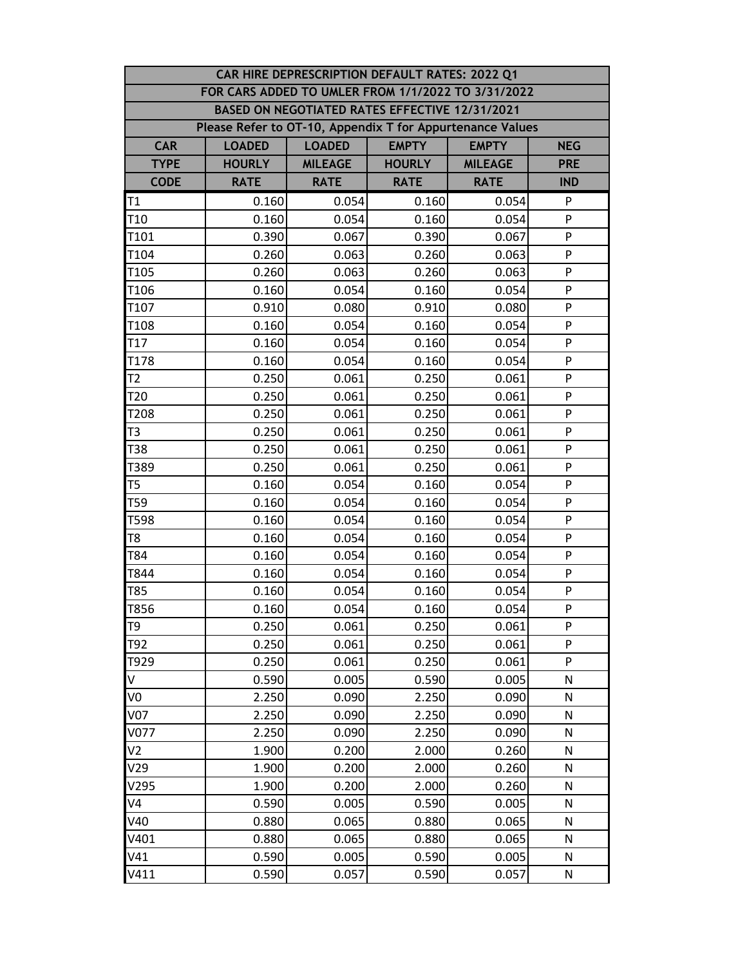|                                                           | CAR HIRE DEPRESCRIPTION DEFAULT RATES: 2022 Q1 |                |               |                |              |  |  |  |
|-----------------------------------------------------------|------------------------------------------------|----------------|---------------|----------------|--------------|--|--|--|
| FOR CARS ADDED TO UMLER FROM 1/1/2022 TO 3/31/2022        |                                                |                |               |                |              |  |  |  |
| BASED ON NEGOTIATED RATES EFFECTIVE 12/31/2021            |                                                |                |               |                |              |  |  |  |
| Please Refer to OT-10, Appendix T for Appurtenance Values |                                                |                |               |                |              |  |  |  |
| <b>CAR</b>                                                | <b>LOADED</b>                                  | <b>LOADED</b>  | <b>EMPTY</b>  | <b>EMPTY</b>   | <b>NEG</b>   |  |  |  |
| <b>TYPE</b>                                               | <b>HOURLY</b>                                  | <b>MILEAGE</b> | <b>HOURLY</b> | <b>MILEAGE</b> | <b>PRE</b>   |  |  |  |
| <b>CODE</b>                                               | <b>RATE</b>                                    | <b>RATE</b>    | <b>RATE</b>   | <b>RATE</b>    | <b>IND</b>   |  |  |  |
| T <sub>1</sub>                                            | 0.160                                          | 0.054          | 0.160         | 0.054          | P            |  |  |  |
| T <sub>10</sub>                                           | 0.160                                          | 0.054          | 0.160         | 0.054          | P            |  |  |  |
| T <sub>101</sub>                                          | 0.390                                          | 0.067          | 0.390         | 0.067          | P            |  |  |  |
| T104                                                      | 0.260                                          | 0.063          | 0.260         | 0.063          | P            |  |  |  |
| T105                                                      | 0.260                                          | 0.063          | 0.260         | 0.063          | P            |  |  |  |
| T106                                                      | 0.160                                          | 0.054          | 0.160         | 0.054          | P            |  |  |  |
| T107                                                      | 0.910                                          | 0.080          | 0.910         | 0.080          | P            |  |  |  |
| T108                                                      | 0.160                                          | 0.054          | 0.160         | 0.054          | P            |  |  |  |
| T <sub>17</sub>                                           | 0.160                                          | 0.054          | 0.160         | 0.054          | P            |  |  |  |
| T178                                                      | 0.160                                          | 0.054          | 0.160         | 0.054          | P            |  |  |  |
| T2                                                        | 0.250                                          | 0.061          | 0.250         | 0.061          | P            |  |  |  |
| T <sub>20</sub>                                           | 0.250                                          | 0.061          | 0.250         | 0.061          | P            |  |  |  |
| T208                                                      | 0.250                                          | 0.061          | 0.250         | 0.061          | P            |  |  |  |
| T <sub>3</sub>                                            | 0.250                                          | 0.061          | 0.250         | 0.061          | P            |  |  |  |
| T38                                                       | 0.250                                          | 0.061          | 0.250         | 0.061          | P            |  |  |  |
| T389                                                      | 0.250                                          | 0.061          | 0.250         | 0.061          | P            |  |  |  |
| T5                                                        | 0.160                                          | 0.054          | 0.160         | 0.054          | P            |  |  |  |
| T59                                                       | 0.160                                          | 0.054          | 0.160         | 0.054          | ${\sf P}$    |  |  |  |
| T598                                                      | 0.160                                          | 0.054          | 0.160         | 0.054          | P            |  |  |  |
| T8                                                        | 0.160                                          | 0.054          | 0.160         | 0.054          | P            |  |  |  |
| T84                                                       | 0.160                                          | 0.054          | 0.160         | 0.054          | P            |  |  |  |
| T844                                                      | 0.160                                          | 0.054          | 0.160         | 0.054          | P            |  |  |  |
| T85                                                       | 0.160                                          | 0.054          | 0.160         | 0.054          | P            |  |  |  |
| T856                                                      | 0.160                                          | 0.054          | 0.160         | 0.054          | P            |  |  |  |
| T <sub>9</sub>                                            | 0.250                                          | 0.061          | 0.250         | 0.061          | P            |  |  |  |
| T92                                                       | 0.250                                          | 0.061          | 0.250         | 0.061          | P            |  |  |  |
| T929                                                      | 0.250                                          | 0.061          | 0.250         | 0.061          | P            |  |  |  |
| V                                                         | 0.590                                          | 0.005          | 0.590         | 0.005          | N            |  |  |  |
| V0                                                        | 2.250                                          | 0.090          | 2.250         | 0.090          | N            |  |  |  |
| <b>V07</b>                                                | 2.250                                          | 0.090          | 2.250         | 0.090          | $\mathsf{N}$ |  |  |  |
| V077                                                      | 2.250                                          | 0.090          | 2.250         | 0.090          | N            |  |  |  |
| V <sub>2</sub>                                            | 1.900                                          | 0.200          | 2.000         | 0.260          | N            |  |  |  |
| V29                                                       | 1.900                                          | 0.200          | 2.000         | 0.260          | N            |  |  |  |
| V295                                                      | 1.900                                          | 0.200          | 2.000         | 0.260          | N            |  |  |  |
| V4                                                        | 0.590                                          | 0.005          | 0.590         | 0.005          | N            |  |  |  |
| V40                                                       | 0.880                                          | 0.065          | 0.880         | 0.065          | N            |  |  |  |
| V401                                                      | 0.880                                          | 0.065          | 0.880         | 0.065          | N            |  |  |  |
| V41                                                       | 0.590                                          | 0.005          | 0.590         | 0.005          | N            |  |  |  |
| V411                                                      | 0.590                                          | 0.057          | 0.590         | 0.057          | ${\sf N}$    |  |  |  |